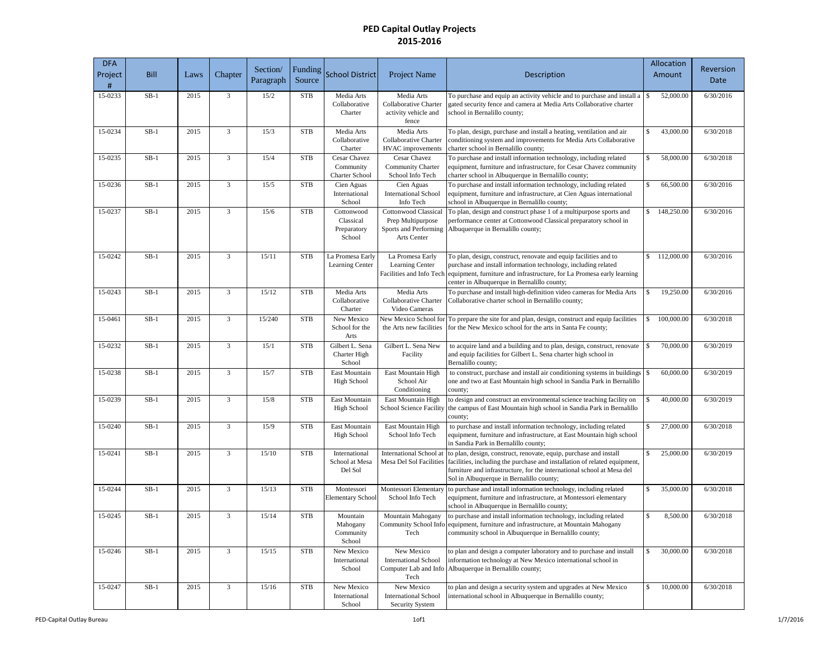| <b>DFA</b><br>Project<br># | <b>Bill</b> | Laws | Chapter        | Section/<br>Paragraph | Funding<br>Source | <b>School District</b>                             | Project Name                                                                             | Description                                                                                                                                                                                                                                                          |     | Allocation<br>Amount | Reversion<br>Date |
|----------------------------|-------------|------|----------------|-----------------------|-------------------|----------------------------------------------------|------------------------------------------------------------------------------------------|----------------------------------------------------------------------------------------------------------------------------------------------------------------------------------------------------------------------------------------------------------------------|-----|----------------------|-------------------|
| 15-0233                    | $SB-1$      | 2015 | 3              | 15/2                  | <b>STB</b>        | Media Arts<br>Collaborative<br>Charter             | Media Arts<br>Collaborative Charter<br>activity vehicle and<br>fence                     | To purchase and equip an activity vehicle and to purchase and install a<br>gated security fence and camera at Media Arts Collaborative charter<br>school in Bernalillo county;                                                                                       | \$  | 52,000.00            | 6/30/2016         |
| 15-0234                    | $SB-1$      | 2015 | $\overline{3}$ | 15/3                  | <b>STB</b>        | Media Arts<br>Collaborative<br>Charter             | Media Arts<br>Collaborative Charter<br><b>HVAC</b> improvements                          | To plan, design, purchase and install a heating, ventilation and air<br>conditioning system and improvements for Media Arts Collaborative<br>charter school in Bernalillo county;                                                                                    | \$  | 43,000.00            | 6/30/2018         |
| 15-0235                    | $SB-1$      | 2015 | $\overline{3}$ | 15/4                  | <b>STB</b>        | Cesar Chavez<br>Community<br><b>Charter School</b> | Cesar Chavez<br>Community Charter<br>School Info Tech                                    | To purchase and install information technology, including related<br>equipment, furniture and infrastructure, for Cesar Chavez community<br>charter school in Albuquerque in Bernalillo county;                                                                      | \$  | 58,000.00            | 6/30/2018         |
| 15-0236                    | $SB-1$      | 2015 | $\overline{3}$ | 15/5                  | <b>STB</b>        | Cien Aguas<br>International<br>School              | Cien Aguas<br><b>International School</b><br>Info Tech                                   | To purchase and install information technology, including related<br>equipment, furniture and infrastructure, at Cien Aguas international<br>school in Albuquerque in Bernalillo county;                                                                             | \$  | 66,500.00            | 6/30/2016         |
| 15-0237                    | $SB-1$      | 2015 | 3              | 15/6                  | <b>STB</b>        | Cottonwood<br>Classical<br>Preparatory<br>School   | <b>Cottonwood Classical</b><br>Prep Multipurpose<br>Sports and Performing<br>Arts Center | To plan, design and construct phase 1 of a multipurpose sports and<br>performance center at Cottonwood Classical preparatory school in<br>Albuquerque in Bernalillo county;                                                                                          | \$  | 148,250.00           | 6/30/2016         |
| 15-0242                    | $SB-1$      | 2015 | $\overline{3}$ | 15/11                 | <b>STB</b>        | La Promesa Early<br>Learning Center                | La Promesa Early<br>Learning Center<br>Facilities and Info Tech                          | To plan, design, construct, renovate and equip facilities and to<br>purchase and install information technology, including related<br>equipment, furniture and infrastructure, for La Promesa early learning<br>center in Albuquerque in Bernalillo county;          | \$  | 112,000.00           | 6/30/2016         |
| 15-0243                    | $SB-1$      | 2015 | $\overline{3}$ | 15/12                 | <b>STB</b>        | Media Arts<br>Collaborative<br>Charter             | Media Arts<br>Collaborative Charter<br>Video Cameras                                     | To purchase and install high-definition video cameras for Media Arts<br>Collaborative charter school in Bernalillo county;                                                                                                                                           | \$  | 19,250.00            | 6/30/2016         |
| 15-0461                    | $SB-1$      | 2015 | $\overline{3}$ | 15/240                | <b>STB</b>        | New Mexico<br>School for the<br>Arts               | New Mexico School for<br>the Arts new facilities                                         | To prepare the site for and plan, design, construct and equip facilities<br>for the New Mexico school for the arts in Santa Fe county;                                                                                                                               | \$  | 100,000.00           | 6/30/2018         |
| 15-0232                    | $SB-1$      | 2015 | $\overline{3}$ | 15/1                  | <b>STB</b>        | Gilbert L. Sena<br>Charter High<br>School          | Gilbert L. Sena New<br>Facility                                                          | to acquire land and a building and to plan, design, construct, renovate<br>and equip facilities for Gilbert L. Sena charter high school in<br>Bernalillo county;                                                                                                     | \$. | 70,000.00            | 6/30/2019         |
| 15-0238                    | $SB-1$      | 2015 | $\overline{3}$ | 15/7                  | <b>STB</b>        | East Mountain<br><b>High School</b>                | East Mountain High<br>School Air<br>Conditioning                                         | to construct, purchase and install air conditioning systems in buildings<br>one and two at East Mountain high school in Sandia Park in Bernalillo<br>county;                                                                                                         | \$  | 60,000.00            | 6/30/2019         |
| 15-0239                    | $SB-1$      | 2015 | 3              | 15/8                  | <b>STB</b>        | East Mountain<br><b>High School</b>                | East Mountain High<br>School Science Facility                                            | to design and construct an environmental science teaching facility on<br>the campus of East Mountain high school in Sandia Park in Bernalillo<br>county;                                                                                                             | \$  | 40,000.00            | 6/30/2019         |
| 15-0240                    | $SB-1$      | 2015 | $\overline{3}$ | 15/9                  | <b>STB</b>        | East Mountain<br><b>High School</b>                | East Mountain High<br>School Info Tech                                                   | to purchase and install information technology, including related<br>equipment, furniture and infrastructure, at East Mountain high school<br>in Sandia Park in Bernalillo county;                                                                                   | \$  | 27,000.00            | 6/30/2018         |
| 15-0241                    | $SB-1$      | 2015 | $\overline{3}$ | 15/10                 | <b>STB</b>        | International<br>School at Mesa<br>Del Sol         | <b>International School at</b><br>Mesa Del Sol Facilities                                | to plan, design, construct, renovate, equip, purchase and install<br>facilities, including the purchase and installation of related equipment,<br>furniture and infrastructure, for the international school at Mesa del<br>Sol in Albuquerque in Bernalillo county; | \$  | 25,000.00            | 6/30/2019         |
| $15 - 0244$                | $SB-1$      | 2015 | $\overline{3}$ | 15/13                 | <b>STB</b>        | Montessori<br>Elementary School                    | Montessori Elementary<br>School Info Tech                                                | to purchase and install information technology, including related<br>equipment, furniture and infrastructure, at Montessori elementary<br>school in Albuquerque in Bernalillo county;                                                                                | \$  | 35,000.00            | 6/30/2018         |
| 15-0245                    | $SB-1$      | 2015 | $\overline{3}$ | 15/14                 | <b>STB</b>        | Mountain<br>Mahogany<br>Community<br>School        | Mountain Mahogany<br>Community School Info<br>Tech                                       | to purchase and install information technology, including related<br>equipment, furniture and infrastructure, at Mountain Mahogany<br>community school in Albuquerque in Bernalillo county;                                                                          | \$  | 8,500.00             | 6/30/2018         |
| 15-0246                    | $SB-1$      | 2015 | 3              | 15/15                 | <b>STB</b>        | New Mexico<br>International<br>School              | New Mexico<br><b>International School</b><br>Computer Lab and Info<br>Tech               | to plan and design a computer laboratory and to purchase and install<br>information technology at New Mexico international school in<br>Albuquerque in Bernalillo county;                                                                                            | S.  | 30,000.00            | 6/30/2018         |
| 15-0247                    | $SB-1$      | 2015 | $\overline{3}$ | 15/16                 | <b>STB</b>        | New Mexico<br>International<br>School              | New Mexico<br><b>International School</b><br>Security System                             | to plan and design a security system and upgrades at New Mexico<br>international school in Albuquerque in Bernalillo county;                                                                                                                                         | \$  | 10,000.00            | 6/30/2018         |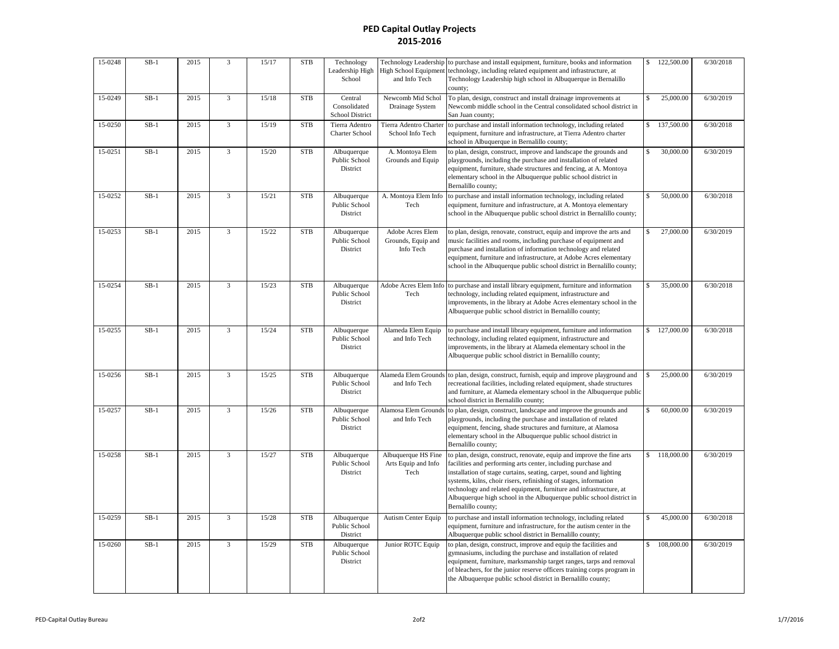| 15-0248 | $SB-1$ | 2015 | 3              | 15/17 | <b>STB</b> | Technology<br>Leadership High<br>School    | Technology Leadership<br>High School Equipment<br>and Info Tech | to purchase and install equipment, furniture, books and information<br>technology, including related equipment and infrastructure, at<br>Technology Leadership high school in Albuquerque in Bernalillo<br>county;                                                                                                                                                                                                                                    | \$  | 122,500.00 | 6/30/2018 |
|---------|--------|------|----------------|-------|------------|--------------------------------------------|-----------------------------------------------------------------|-------------------------------------------------------------------------------------------------------------------------------------------------------------------------------------------------------------------------------------------------------------------------------------------------------------------------------------------------------------------------------------------------------------------------------------------------------|-----|------------|-----------|
| 15-0249 | $SB-1$ | 2015 | $\overline{3}$ | 15/18 | <b>STB</b> | Central<br>Consolidated<br>School District | Newcomb Mid Schol<br>Drainage System                            | To plan, design, construct and install drainage improvements at<br>Newcomb middle school in the Central consolidated school district in<br>San Juan county;                                                                                                                                                                                                                                                                                           | \$. | 25,000.00  | 6/30/2019 |
| 15-0250 | $SB-1$ | 2015 | $\overline{3}$ | 15/19 | <b>STB</b> | Tierra Adentro<br>Charter School           | Tierra Adentro Charter<br>School Info Tech                      | to purchase and install information technology, including related<br>equipment, furniture and infrastructure, at Tierra Adentro charter<br>school in Albuquerque in Bernalillo county;                                                                                                                                                                                                                                                                |     | 137,500.00 | 6/30/2018 |
| 15-0251 | $SB-1$ | 2015 | $\overline{3}$ | 15/20 | <b>STB</b> | Albuquerque<br>Public School<br>District   | A. Montoya Elem<br>Grounds and Equip                            | to plan, design, construct, improve and landscape the grounds and<br>playgrounds, including the purchase and installation of related<br>equipment, furniture, shade structures and fencing, at A. Montoya<br>elementary school in the Albuquerque public school district in<br>Bernalillo county;                                                                                                                                                     | \$  | 30,000.00  | 6/30/2019 |
| 15-0252 | $SB-1$ | 2015 | $\overline{3}$ | 15/21 | <b>STB</b> | Albuquerque<br>Public School<br>District   | A. Montoya Elem Info<br>Tech                                    | to purchase and install information technology, including related<br>equipment, furniture and infrastructure, at A. Montoya elementary<br>school in the Albuquerque public school district in Bernalillo county;                                                                                                                                                                                                                                      |     | 50,000.00  | 6/30/2018 |
| 15-0253 | $SB-1$ | 2015 | $\overline{3}$ | 15/22 | <b>STB</b> | Albuquerque<br>Public School<br>District   | Adobe Acres Elem<br>Grounds, Equip and<br>Info Tech             | to plan, design, renovate, construct, equip and improve the arts and<br>music facilities and rooms, including purchase of equipment and<br>purchase and installation of information technology and related<br>equipment, furniture and infrastructure, at Adobe Acres elementary<br>school in the Albuquerque public school district in Bernalillo county;                                                                                            | \$. | 27,000.00  | 6/30/2019 |
| 15-0254 | $SB-1$ | 2015 | 3              | 15/23 | <b>STB</b> | Albuquerque<br>Public School<br>District   | Adobe Acres Elem Info<br>Tech                                   | to purchase and install library equipment, furniture and information<br>technology, including related equipment, infrastructure and<br>improvements, in the library at Adobe Acres elementary school in the<br>Albuquerque public school district in Bernalillo county;                                                                                                                                                                               | \$  | 35,000.00  | 6/30/2018 |
| 15-0255 | $SB-1$ | 2015 | $\overline{3}$ | 15/24 | <b>STB</b> | Albuquerque<br>Public School<br>District   | Alameda Elem Equip<br>and Info Tech                             | to purchase and install library equipment, furniture and information<br>technology, including related equipment, infrastructure and<br>improvements, in the library at Alameda elementary school in the<br>Albuquerque public school district in Bernalillo county;                                                                                                                                                                                   | \$  | 127,000.00 | 6/30/2018 |
| 15-0256 | $SB-1$ | 2015 | $\overline{3}$ | 15/25 | <b>STB</b> | Albuquerque<br>Public School<br>District   | Alameda Elem Grounds<br>and Info Tech                           | to plan, design, construct, furnish, equip and improve playground and<br>recreational facilities, including related equipment, shade structures<br>and furniture, at Alameda elementary school in the Albuquerque public<br>school district in Bernalillo county;                                                                                                                                                                                     |     | 25,000.00  | 6/30/2019 |
| 15-0257 | $SB-1$ | 2015 | $\overline{3}$ | 15/26 | <b>STB</b> | Albuquerque<br>Public School<br>District   | Alamosa Elem Grounds<br>and Info Tech                           | to plan, design, construct, landscape and improve the grounds and<br>playgrounds, including the purchase and installation of related<br>equipment, fencing, shade structures and furniture, at Alamosa<br>elementary school in the Albuquerque public school district in<br>Bernalillo county;                                                                                                                                                        | \$  | 60,000.00  | 6/30/2019 |
| 15-0258 | $SB-1$ | 2015 | 3              | 15/27 | <b>STB</b> | Albuquerque<br>Public School<br>District   | Albuquerque HS Fine<br>Arts Equip and Info<br>Tech              | to plan, design, construct, renovate, equip and improve the fine arts<br>facilities and performing arts center, including purchase and<br>installation of stage curtains, seating, carpet, sound and lighting<br>systems, kilns, choir risers, refinishing of stages, information<br>technology and related equipment, furniture and infrastructure, at<br>Albuquerque high school in the Albuquerque public school district in<br>Bernalillo county; | \$  | 118,000.00 | 6/30/2019 |
| 15-0259 | $SB-1$ | 2015 | $\overline{3}$ | 15/28 | <b>STB</b> | Albuquerque<br>Public School<br>District   | Autism Center Equip                                             | to purchase and install information technology, including related<br>equipment, furniture and infrastructure, for the autism center in the<br>Albuquerque public school district in Bernalillo county;                                                                                                                                                                                                                                                | S.  | 45,000.00  | 6/30/2018 |
| 15-0260 | $SB-1$ | 2015 | $\overline{3}$ | 15/29 | <b>STB</b> | Albuquerque<br>Public School<br>District   | Junior ROTC Equip                                               | to plan, design, construct, improve and equip the facilities and<br>gymnasiums, including the purchase and installation of related<br>equipment, furniture, marksmanship target ranges, tarps and removal<br>of bleachers, for the junior reserve officers training corps program in<br>the Albuquerque public school district in Bernalillo county;                                                                                                  | \$  | 108,000.00 | 6/30/2019 |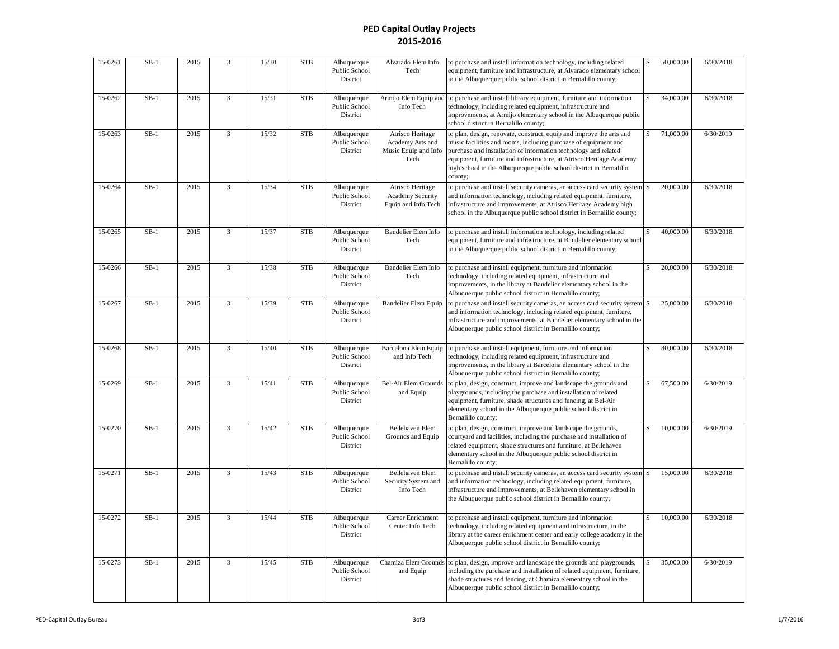| 15-0261 | $SB-1$ | 2015 | 3              | 15/30 | ${\rm STB}$ | Albuquerque<br>Public School<br>District | Alvarado Elem Info<br>Tech                                           | to purchase and install information technology, including related<br>equipment, furniture and infrastructure, at Alvarado elementary school<br>in the Albuquerque public school district in Bernalillo county;                                                                                                                                                       |     | 50,000.00 | 6/30/2018 |
|---------|--------|------|----------------|-------|-------------|------------------------------------------|----------------------------------------------------------------------|----------------------------------------------------------------------------------------------------------------------------------------------------------------------------------------------------------------------------------------------------------------------------------------------------------------------------------------------------------------------|-----|-----------|-----------|
| 15-0262 | $SB-1$ | 2015 | 3              | 15/31 | <b>STB</b>  | Albuquerque<br>Public School<br>District | Armijo Elem Equip and<br>Info Tech                                   | to purchase and install library equipment, furniture and information<br>technology, including related equipment, infrastructure and<br>improvements, at Armijo elementary school in the Albuquerque public<br>school district in Bernalillo county;                                                                                                                  |     | 34,000.00 | 6/30/2018 |
| 15-0263 | $SB-1$ | 2015 | 3              | 15/32 | <b>STB</b>  | Albuquerque<br>Public School<br>District | Atrisco Heritage<br>Academy Arts and<br>Music Equip and Info<br>Tech | to plan, design, renovate, construct, equip and improve the arts and<br>music facilities and rooms, including purchase of equipment and<br>purchase and installation of information technology and related<br>equipment, furniture and infrastructure, at Atrisco Heritage Academy<br>high school in the Albuquerque public school district in Bernalillo<br>county; | \$  | 71,000.00 | 6/30/2019 |
| 15-0264 | $SB-1$ | 2015 | 3              | 15/34 | <b>STB</b>  | Albuquerque<br>Public School<br>District | Atrisco Heritage<br>Academy Security<br>Equip and Info Tech          | to purchase and install security cameras, an access card security system<br>and information technology, including related equipment, furniture,<br>infrastructure and improvements, at Atrisco Heritage Academy high<br>school in the Albuquerque public school district in Bernalillo county;                                                                       | \$  | 20,000.00 | 6/30/2018 |
| 15-0265 | $SB-1$ | 2015 | 3              | 15/37 | <b>STB</b>  | Albuquerque<br>Public School<br>District | <b>Bandelier Elem Info</b><br>Tech                                   | to purchase and install information technology, including related<br>equipment, furniture and infrastructure, at Bandelier elementary school<br>in the Albuquerque public school district in Bernalillo county;                                                                                                                                                      | \$  | 40,000.00 | 6/30/2018 |
| 15-0266 | $SB-1$ | 2015 | 3              | 15/38 | <b>STB</b>  | Albuquerque<br>Public School<br>District | <b>Bandelier Elem Info</b><br>Tech                                   | to purchase and install equipment, furniture and information<br>technology, including related equipment, infrastructure and<br>improvements, in the library at Bandelier elementary school in the<br>Albuquerque public school district in Bernalillo county;                                                                                                        |     | 20,000.00 | 6/30/2018 |
| 15-0267 | $SB-1$ | 2015 | 3              | 15/39 | <b>STB</b>  | Albuquerque<br>Public School<br>District | <b>Bandelier Elem Equip</b>                                          | to purchase and install security cameras, an access card security system<br>and information technology, including related equipment, furniture,<br>infrastructure and improvements, at Bandelier elementary school in the<br>Albuquerque public school district in Bernalillo county;                                                                                | \$  | 25,000.00 | 6/30/2018 |
| 15-0268 | $SB-1$ | 2015 | 3              | 15/40 | <b>STB</b>  | Albuquerque<br>Public School<br>District | <b>Barcelona Elem Equip</b><br>and Info Tech                         | to purchase and install equipment, furniture and information<br>technology, including related equipment, infrastructure and<br>improvements, in the library at Barcelona elementary school in the<br>Albuquerque public school district in Bernalillo county;                                                                                                        | \$  | 80,000.00 | 6/30/2018 |
| 15-0269 | $SB-1$ | 2015 | $\overline{3}$ | 15/41 | <b>STB</b>  | Albuquerque<br>Public School<br>District | <b>Bel-Air Elem Grounds</b><br>and Equip                             | to plan, design, construct, improve and landscape the grounds and<br>playgrounds, including the purchase and installation of related<br>equipment, furniture, shade structures and fencing, at Bel-Air<br>elementary school in the Albuquerque public school district in<br>Bernalillo county;                                                                       | \$  | 67,500.00 | 6/30/2019 |
| 15-0270 | $SB-1$ | 2015 | 3              | 15/42 | <b>STB</b>  | Albuquerque<br>Public School<br>District | Bellehaven Elem<br>Grounds and Equip                                 | to plan, design, construct, improve and landscape the grounds,<br>courtyard and facilities, including the purchase and installation of<br>related equipment, shade structures and furniture, at Bellehaven<br>elementary school in the Albuquerque public school district in<br>Bernalillo county;                                                                   | \$  | 10,000.00 | 6/30/2019 |
| 15-0271 | $SB-1$ | 2015 | 3              | 15/43 | <b>STB</b>  | Albuquerque<br>Public School<br>District | Bellehaven Elem<br>Security System and<br>Info Tech                  | to purchase and install security cameras, an access card security system<br>and information technology, including related equipment, furniture,<br>infrastructure and improvements, at Bellehaven elementary school in<br>the Albuquerque public school district in Bernalillo county;                                                                               | \$  | 15,000.00 | 6/30/2018 |
| 15-0272 | $SB-1$ | 2015 | $\overline{3}$ | 15/44 | <b>STB</b>  | Albuquerque<br>Public School<br>District | Career Enrichment<br>Center Info Tech                                | to purchase and install equipment, furniture and information<br>technology, including related equipment and infrastructure, in the<br>library at the career enrichment center and early college academy in the<br>Albuquerque public school district in Bernalillo county;                                                                                           | \$. | 10,000.00 | 6/30/2018 |
| 15-0273 | $SB-1$ | 2015 | 3              | 15/45 | <b>STB</b>  | Albuquerque<br>Public School<br>District | Chamiza Elem Grounds<br>and Equip                                    | to plan, design, improve and landscape the grounds and playgrounds,<br>including the purchase and installation of related equipment, furniture,<br>shade structures and fencing, at Chamiza elementary school in the<br>Albuquerque public school district in Bernalillo county;                                                                                     | \$  | 35,000.00 | 6/30/2019 |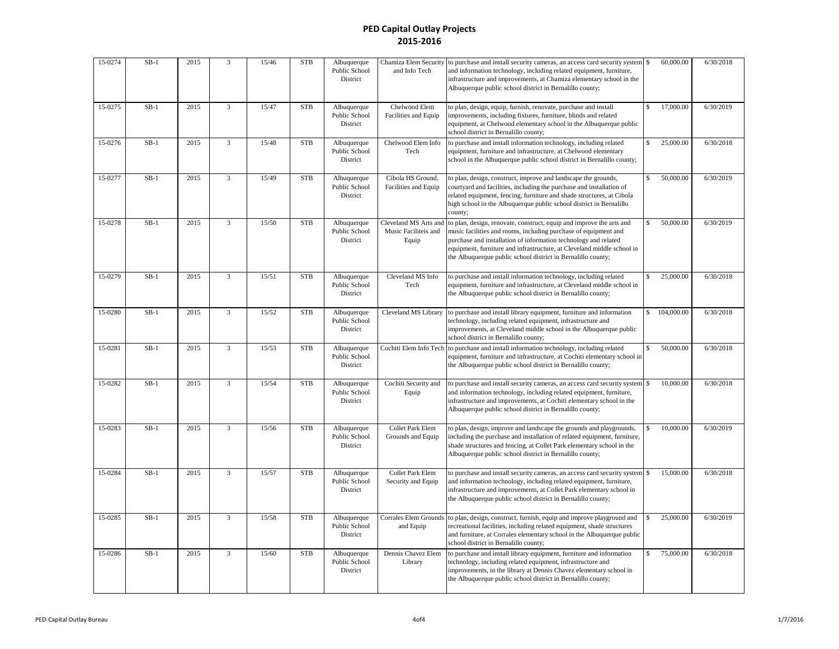| 15-0274 | $SB-1$ | 2015 | 3                       | 15/46 | <b>STB</b>  | Albuquerque<br>Public School<br>District | Chamiza Elem Security<br>and Info Tech                 | to purchase and install security cameras, an access card security system<br>and information technology, including related equipment, furniture,<br>infrastructure and improvements, at Chamiza elementary school in the<br>Albuquerque public school district in Bernalillo county;                                                                  | \$                 | 60,000.00              | 6/30/2018 |
|---------|--------|------|-------------------------|-------|-------------|------------------------------------------|--------------------------------------------------------|------------------------------------------------------------------------------------------------------------------------------------------------------------------------------------------------------------------------------------------------------------------------------------------------------------------------------------------------------|--------------------|------------------------|-----------|
| 15-0275 | $SB-1$ | 2015 | $\overline{3}$          | 15/47 | <b>STB</b>  | Albuquerque<br>Public School<br>District | Chelwood Elem<br>Facilities and Equip                  | to plan, design, equip, furnish, renovate, purchase and install<br>improvements, including fixtures, furniture, blinds and related<br>equipment, at Chelwood elementary school in the Albuquerque public<br>school district in Bernalillo county;                                                                                                    | \$.                | 17,000.00              | 6/30/2019 |
| 15-0276 | $SB-1$ | 2015 | 3                       | 15/48 | <b>STB</b>  | Albuquerque<br>Public School<br>District | Chelwood Elem Info<br>Tech                             | to purchase and install information technology, including related<br>equipment, furniture and infrastructure, at Chelwood elementary<br>school in the Albuquerque public school district in Bernalillo county;                                                                                                                                       | \$.                | 25,000.00              | 6/30/2018 |
| 15-0277 | $SB-1$ | 2015 | $\overline{3}$          | 15/49 | <b>STB</b>  | Albuquerque<br>Public School<br>District | Cibola HS Ground,<br>Facilities and Equip              | to plan, design, construct, improve and landscape the grounds,<br>courtyard and facilities, including the purchase and installation of<br>related equipment, fencing, furniture and shade structures, at Cibola<br>high school in the Albuquerque public school district in Bernalillo<br>county;                                                    | \$.                | 50,000.00              | 6/30/2019 |
| 15-0278 | $SB-1$ | 2015 | 3                       | 15/50 | <b>STB</b>  | Albuquerque<br>Public School<br>District | Cleveland MS Arts and<br>Music Faciliteis and<br>Equip | to plan, design, renovate, construct, equip and improve the arts and<br>music facilities and rooms, including purchase of equipment and<br>purchase and installation of information technology and related<br>equipment, furniture and infrastructure, at Cleveland middle school in<br>the Albuquerque public school district in Bernalillo county; |                    | 50,000.00              | 6/30/2019 |
| 15-0279 | $SB-1$ | 2015 | $\overline{\mathbf{3}}$ | 15/51 | <b>STB</b>  | Albuquerque<br>Public School<br>District | Cleveland MS Info<br>Tech                              | to purchase and install information technology, including related<br>equipment, furniture and infrastructure, at Cleveland middle school in<br>the Albuquerque public school district in Bernalillo county;                                                                                                                                          |                    | 25,000.00              | 6/30/2018 |
| 15-0280 | $SB-1$ | 2015 | 3                       | 15/52 | <b>STB</b>  | Albuquerque<br>Public School<br>District | Cleveland MS Library                                   | to purchase and install library equipment, furniture and information<br>technology, including related equipment, infrastructure and<br>improvements, at Cleveland middle school in the Albuquerque public<br>school district in Bernalillo county;                                                                                                   | $\mathbf{\hat{S}}$ | 104,000.00             | 6/30/2018 |
| 15-0281 | $SB-1$ | 2015 | $\overline{3}$          | 15/53 | <b>STB</b>  | Albuquerque<br>Public School<br>District | Cochiti Elem Info Tech                                 | to purchase and install information technology, including related<br>equipment, furniture and infrastructure, at Cochiti elementary school in<br>the Albuquerque public school district in Bernalillo county;                                                                                                                                        |                    | 50,000.00              | 6/30/2018 |
| 15-0282 | $SB-1$ | 2015 | $\overline{3}$          | 15/54 | <b>STB</b>  | Albuquerque<br>Public School<br>District | Cochiti Security and<br>Equip                          | to purchase and install security cameras, an access card security system<br>and information technology, including related equipment, furniture,<br>infrastructure and improvements, at Cochiti elementary school in the<br>Albuquerque public school district in Bernalillo county;                                                                  |                    | 10,000.00              | 6/30/2018 |
| 15-0283 | $SB-1$ | 2015 | $\overline{3}$          | 15/56 | <b>STB</b>  | Albuquerque<br>Public School<br>District | Collet Park Elem<br>Grounds and Equip                  | to plan, design, improve and landscape the grounds and playgrounds,<br>including the purchase and installation of related equipment, furniture,<br>shade structures and fencing, at Collet Park elementary school in the<br>Albuquerque public school district in Bernalillo county;                                                                 |                    | $10,000.\overline{00}$ | 6/30/2019 |
| 15-0284 | $SB-1$ | 2015 | $\overline{3}$          | 15/57 | <b>STB</b>  | Albuquerque<br>Public School<br>District | Collet Park Elem<br>Security and Equip                 | to purchase and install security cameras, an access card security system<br>and information technology, including related equipment, furniture,<br>infrastructure and improvements, at Collet Park elementary school in<br>the Albuquerque public school district in Bernalillo county;                                                              |                    | 15,000.00              | 6/30/2018 |
| 15-0285 | $SB-1$ | 2015 | 3                       | 15/58 | ${\rm STB}$ | Albuquerque<br>Public School<br>District | Corrales Elem Grounds<br>and Equip                     | to plan, design, construct, furnish, equip and improve playground and<br>recreational facilities, including related equipment, shade structures<br>and furniture, at Corrales elementary school in the Albuquerque public<br>school district in Bernalillo county;                                                                                   |                    | 25,000.00              | 6/30/2019 |
| 15-0286 | $SB-1$ | 2015 | 3                       | 15/60 | <b>STB</b>  | Albuquerque<br>Public School<br>District | Dennis Chavez Elem<br>Library                          | to purchase and install library equipment, furniture and information<br>technology, including related equipment, infrastructure and<br>improvements, in the library at Dennis Chavez elementary school in<br>the Albuquerque public school district in Bernalillo county;                                                                            | $\mathbf{\hat{S}}$ | 75,000.00              | 6/30/2018 |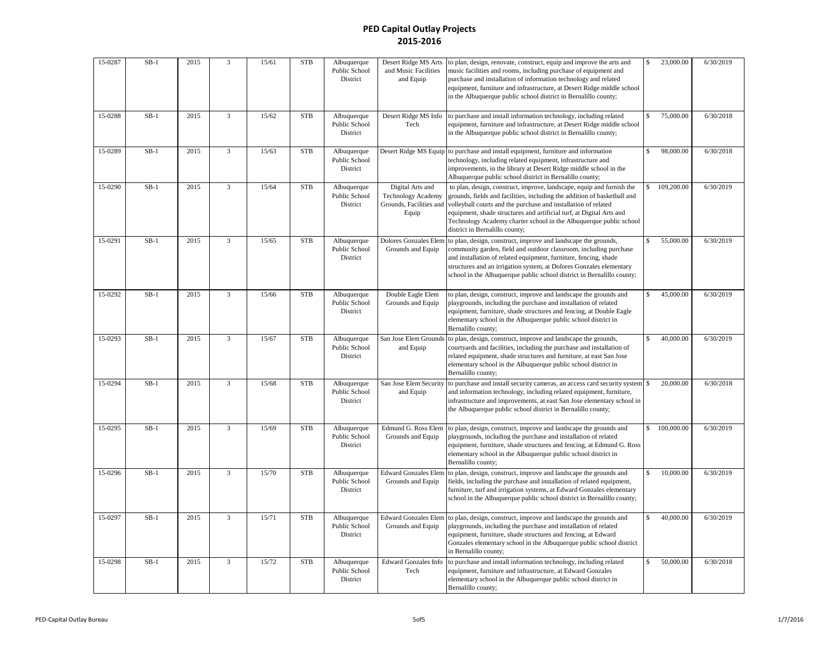| 15-0287 | $SB-1$ | 2015 | 3              | 15/61 | <b>STB</b> | Albuquerque<br>Public School<br>District | Desert Ridge MS Arts<br>and Music Facilities<br>and Equip                         | to plan, design, renovate, construct, equip and improve the arts and<br>music facilities and rooms, including purchase of equipment and<br>purchase and installation of information technology and related<br>equipment, furniture and infrastructure, at Desert Ridge middle school<br>in the Albuquerque public school district in Bernalillo county;                                             | <sup>\$</sup> | 23,000.00  | 6/30/2019 |
|---------|--------|------|----------------|-------|------------|------------------------------------------|-----------------------------------------------------------------------------------|-----------------------------------------------------------------------------------------------------------------------------------------------------------------------------------------------------------------------------------------------------------------------------------------------------------------------------------------------------------------------------------------------------|---------------|------------|-----------|
| 15-0288 | $SB-1$ | 2015 | $\overline{3}$ | 15/62 | <b>STB</b> | Albuquerque<br>Public School<br>District | Desert Ridge MS Info<br>Tech                                                      | to purchase and install information technology, including related<br>equipment, furniture and infrastructure, at Desert Ridge middle school<br>in the Albuquerque public school district in Bernalillo county;                                                                                                                                                                                      |               | 75,000.00  | 6/30/2018 |
| 15-0289 | $SB-1$ | 2015 | $\overline{3}$ | 15/63 | <b>STB</b> | Albuquerque<br>Public School<br>District | Desert Ridge MS Equip                                                             | to purchase and install equipment, furniture and information<br>technology, including related equipment, infrastructure and<br>improvements, in the library at Desert Ridge middle school in the<br>Albuquerque public school district in Bernalillo county;                                                                                                                                        |               | 98,000.00  | 6/30/2018 |
| 15-0290 | $SB-1$ | 2015 | $\overline{3}$ | 15/64 | <b>STB</b> | Albuquerque<br>Public School<br>District | Digital Arts and<br><b>Technology Academy</b><br>Grounds, Facilities and<br>Equip | to plan, design, construct, improve, landscape, equip and furnish the<br>grounds, fields and facilities, including the addition of basketball and<br>volleyball courts and the purchase and installation of related<br>equipment, shade structures and artificial turf, at Digital Arts and<br>Technology Academy charter school in the Albuquerque public school<br>district in Bernalillo county; |               | 109,200.00 | 6/30/2019 |
| 15-0291 | $SB-1$ | 2015 | 3              | 15/65 | <b>STB</b> | Albuquerque<br>Public School<br>District | Dolores Gonzales Elen<br>Grounds and Equip                                        | to plan, design, construct, improve and landscape the grounds,<br>community garden, field and outdoor classroom, including purchase<br>and installation of related equipment, furniture, fencing, shade<br>structures and an irrigation system, at Dolores Gonzales elementary<br>school in the Albuquerque public school district in Bernalillo county;                                            |               | 55,000.00  | 6/30/2019 |
| 15-0292 | $SB-1$ | 2015 | 3              | 15/66 | <b>STB</b> | Albuquerque<br>Public School<br>District | Double Eagle Elem<br>Grounds and Equip                                            | to plan, design, construct, improve and landscape the grounds and<br>playgrounds, including the purchase and installation of related<br>equipment, furniture, shade structures and fencing, at Double Eagle<br>elementary school in the Albuquerque public school district in<br>Bernalillo county;                                                                                                 |               | 45,000.00  | 6/30/2019 |
| 15-0293 | $SB-1$ | 2015 | 3              | 15/67 | <b>STB</b> | Albuquerque<br>Public School<br>District | San Jose Elem Grounds<br>and Equip                                                | to plan, design, construct, improve and landscape the grounds,<br>courtyards and facilities, including the purchase and installation of<br>related equipment, shade structures and furniture, at east San Jose<br>elementary school in the Albuquerque public school district in<br>Bernalillo county;                                                                                              | \$            | 40,000.00  | 6/30/2019 |
| 15-0294 | $SB-1$ | 2015 | 3              | 15/68 | <b>STB</b> | Albuquerque<br>Public School<br>District | San Jose Elem Security<br>and Equip                                               | to purchase and install security cameras, an access card security system<br>and information technology, including related equipment, furniture,<br>infrastructure and improvements, at east San Jose elementary school in<br>the Albuquerque public school district in Bernalillo county;                                                                                                           |               | 20,000.00  | 6/30/2018 |
| 15-0295 | $SB-1$ | 2015 | $\overline{3}$ | 15/69 | <b>STB</b> | Albuquerque<br>Public School<br>District | Edmund G. Ross Elem<br>Grounds and Equip                                          | to plan, design, construct, improve and landscape the grounds and<br>playgrounds, including the purchase and installation of related<br>equipment, furniture, shade structures and fencing, at Edmund G. Ross<br>elementary school in the Albuquerque public school district in<br>Bernalillo county;                                                                                               |               | 100,000.00 | 6/30/2019 |
| 15-0296 | $SB-1$ | 2015 | 3              | 15/70 | <b>STB</b> | Albuquerque<br>Public School<br>District | <b>Edward Gonzales Elen</b><br>Grounds and Equip                                  | to plan, design, construct, improve and landscape the grounds and<br>fields, including the purchase and installation of related equipment,<br>furniture, turf and irrigation systems, at Edward Gonzales elementary<br>school in the Albuquerque public school district in Bernalillo county;                                                                                                       |               | 10,000.00  | 6/30/2019 |
| 15-0297 | $SB-1$ | 2015 | $\overline{3}$ | 15/71 | <b>STB</b> | Albuquerque<br>Public School<br>District | <b>Edward Gonzales Elem</b><br>Grounds and Equip                                  | to plan, design, construct, improve and landscape the grounds and<br>playgrounds, including the purchase and installation of related<br>equipment, furniture, shade structures and fencing, at Edward<br>Gonzales elementary school in the Albuquerque public school district<br>in Bernalillo county;                                                                                              |               | 40,000.00  | 6/30/2019 |
| 15-0298 | $SB-1$ | 2015 | 3              | 15/72 | <b>STB</b> | Albuquerque<br>Public School<br>District | <b>Edward Gonzales Info</b><br>Tech                                               | to purchase and install information technology, including related<br>equipment, furniture and infrastructure, at Edward Gonzales<br>elementary school in the Albuquerque public school district in<br>Bernalillo county;                                                                                                                                                                            | \$.           | 50,000.00  | 6/30/2018 |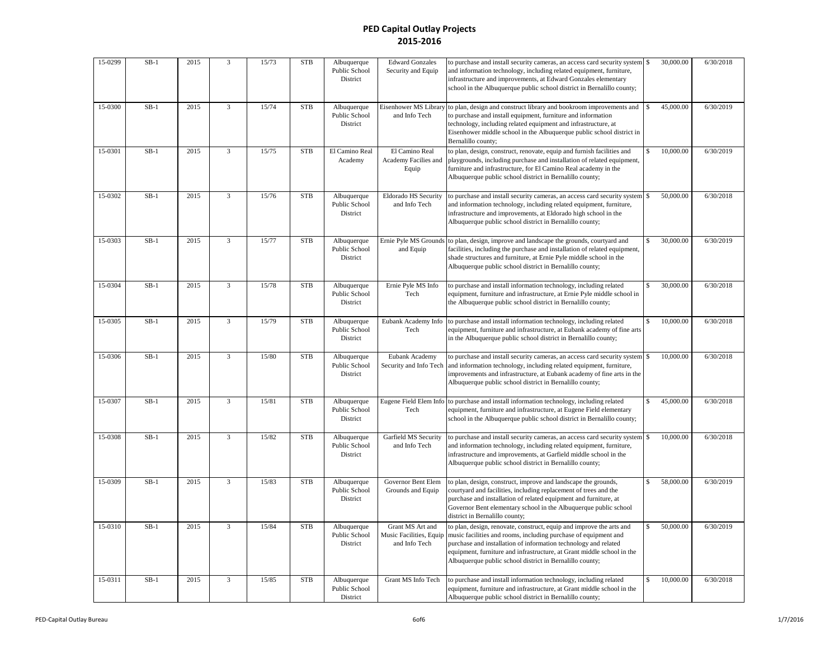| 15-0299 | $SB-1$ | 2015 | $\overline{3}$ | 15/73 | ${\rm STB}$ | Albuquerque<br>Public School<br>District | <b>Edward Gonzales</b><br>Security and Equip                 | to purchase and install security cameras, an access card security system<br>and information technology, including related equipment, furniture,<br>infrastructure and improvements, at Edward Gonzales elementary<br>school in the Albuquerque public school district in Bernalillo county;                                                      | \$<br>30,000.00 | 6/30/2018 |
|---------|--------|------|----------------|-------|-------------|------------------------------------------|--------------------------------------------------------------|--------------------------------------------------------------------------------------------------------------------------------------------------------------------------------------------------------------------------------------------------------------------------------------------------------------------------------------------------|-----------------|-----------|
| 15-0300 | $SB-1$ | 2015 | 3              | 15/74 | <b>STB</b>  | Albuquerque<br>Public School<br>District | Eisenhower MS Library<br>and Info Tech                       | to plan, design and construct library and bookroom improvements and<br>to purchase and install equipment, furniture and information<br>technology, including related equipment and infrastructure, at<br>Eisenhower middle school in the Albuquerque public school district in<br>Bernalillo county;                                             | 45,000.00       | 6/30/2019 |
| 15-0301 | $SB-1$ | 2015 | $\overline{3}$ | 15/75 | <b>STB</b>  | El Camino Real<br>Academy                | El Camino Real<br>Academy Facilies and<br>Equip              | to plan, design, construct, renovate, equip and furnish facilities and<br>playgrounds, including purchase and installation of related equipment,<br>furniture and infrastructure, for El Camino Real academy in the<br>Albuquerque public school district in Bernalillo county;                                                                  | 10,000.00       | 6/30/2019 |
| 15-0302 | $SB-1$ | 2015 | $\overline{3}$ | 15/76 | <b>STB</b>  | Albuquerque<br>Public School<br>District | Eldorado HS Security<br>and Info Tech                        | to purchase and install security cameras, an access card security system<br>and information technology, including related equipment, furniture,<br>infrastructure and improvements, at Eldorado high school in the<br>Albuquerque public school district in Bernalillo county;                                                                   | \$<br>50,000.00 | 6/30/2018 |
| 15-0303 | $SB-1$ | 2015 | $\overline{3}$ | 15/77 | <b>STB</b>  | Albuquerque<br>Public School<br>District | Ernie Pyle MS Grounds<br>and Equip                           | to plan, design, improve and landscape the grounds, courtyard and<br>facilities, including the purchase and installation of related equipment,<br>shade structures and furniture, at Ernie Pyle middle school in the<br>Albuquerque public school district in Bernalillo county;                                                                 | 30,000.00       | 6/30/2019 |
| 15-0304 | $SB-1$ | 2015 | $\overline{3}$ | 15/78 | <b>STB</b>  | Albuquerque<br>Public School<br>District | Ernie Pyle MS Info<br>Tech                                   | to purchase and install information technology, including related<br>equipment, furniture and infrastructure, at Ernie Pyle middle school in<br>the Albuquerque public school district in Bernalillo county;                                                                                                                                     | 30,000.00       | 6/30/2018 |
| 15-0305 | $SB-1$ | 2015 | 3              | 15/79 | <b>STB</b>  | Albuquerque<br>Public School<br>District | Eubank Academy Info<br>Tech                                  | to purchase and install information technology, including related<br>equipment, furniture and infrastructure, at Eubank academy of fine arts<br>in the Albuquerque public school district in Bernalillo county;                                                                                                                                  | 10,000.00       | 6/30/2018 |
| 15-0306 | $SB-1$ | 2015 | $\overline{3}$ | 15/80 | <b>STB</b>  | Albuquerque<br>Public School<br>District | Eubank Academy<br>Security and Info Tech                     | to purchase and install security cameras, an access card security system<br>and information technology, including related equipment, furniture,<br>improvements and infrastructure, at Eubank academy of fine arts in the<br>Albuquerque public school district in Bernalillo county;                                                            | \$<br>10,000.00 | 6/30/2018 |
| 15-0307 | $SB-1$ | 2015 | $\overline{3}$ | 15/81 | <b>STB</b>  | Albuquerque<br>Public School<br>District | Eugene Field Elem Info<br>Tech                               | to purchase and install information technology, including related<br>equipment, furniture and infrastructure, at Eugene Field elementary<br>school in the Albuquerque public school district in Bernalillo county;                                                                                                                               | 45,000.00       | 6/30/2018 |
| 15-0308 | $SB-1$ | 2015 | $\overline{3}$ | 15/82 | <b>STB</b>  | Albuquerque<br>Public School<br>District | Garfield MS Security<br>and Info Tech                        | to purchase and install security cameras, an access card security system<br>and information technology, including related equipment, furniture,<br>infrastructure and improvements, at Garfield middle school in the<br>Albuquerque public school district in Bernalillo county;                                                                 | \$<br>10,000.00 | 6/30/2018 |
| 15-0309 | $SB-1$ | 2015 | 3              | 15/83 | <b>STB</b>  | Albuquerque<br>Public School<br>District | Governor Bent Elem<br>Grounds and Equip                      | to plan, design, construct, improve and landscape the grounds,<br>courtyard and facilities, including replacement of trees and the<br>purchase and installation of related equipment and furniture, at<br>Governor Bent elementary school in the Albuquerque public school<br>district in Bernalillo county;                                     | 58,000.00       | 6/30/2019 |
| 15-0310 | $SB-1$ | 2015 | 3              | 15/84 | <b>STB</b>  | Albuquerque<br>Public School<br>District | Grant MS Art and<br>Music Facilities, Equip<br>and Info Tech | to plan, design, renovate, construct, equip and improve the arts and<br>music facilities and rooms, including purchase of equipment and<br>purchase and installation of information technology and related<br>equipment, furniture and infrastructure, at Grant middle school in the<br>Albuquerque public school district in Bernalillo county; | 50,000.00       | 6/30/2019 |
| 15-0311 | $SB-1$ | 2015 | 3              | 15/85 | <b>STB</b>  | Albuquerque<br>Public School<br>District | Grant MS Info Tech                                           | to purchase and install information technology, including related<br>equipment, furniture and infrastructure, at Grant middle school in the<br>Albuquerque public school district in Bernalillo county;                                                                                                                                          | \$<br>10,000.00 | 6/30/2018 |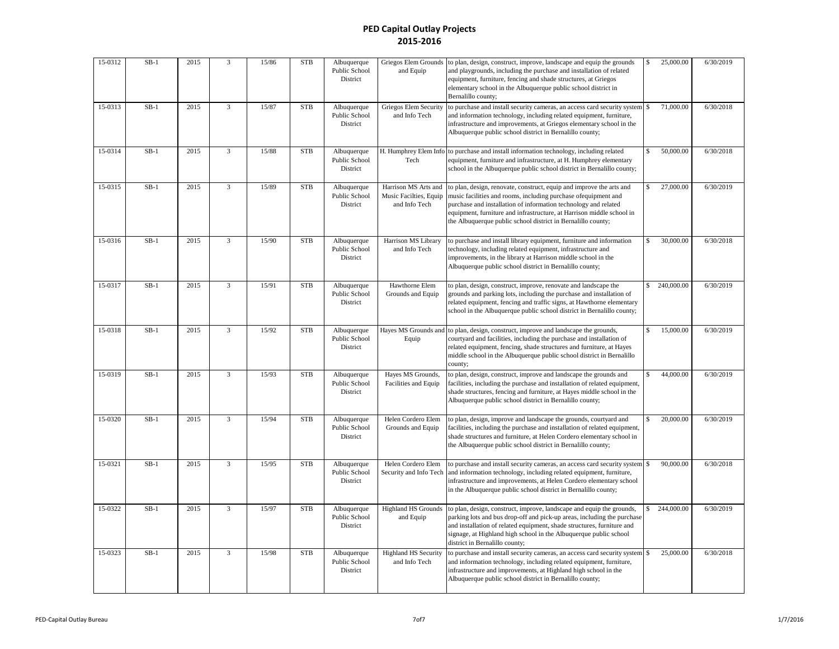| 15-0312 | $SB-1$ | 2015 | $\overline{3}$          | 15/86 | <b>STB</b> | Albuquerque<br>Public School<br>District | Griegos Elem Grounds<br>and Equip                               | to plan, design, construct, improve, landscape and equip the grounds<br>and playgrounds, including the purchase and installation of related<br>equipment, furniture, fencing and shade structures, at Griegos<br>elementary school in the Albuquerque public school district in<br>Bernalillo county;                                               | \$                 | 25,000.00  | 6/30/2019 |
|---------|--------|------|-------------------------|-------|------------|------------------------------------------|-----------------------------------------------------------------|-----------------------------------------------------------------------------------------------------------------------------------------------------------------------------------------------------------------------------------------------------------------------------------------------------------------------------------------------------|--------------------|------------|-----------|
| 15-0313 | $SB-1$ | 2015 | 3                       | 15/87 | <b>STB</b> | Albuquerque<br>Public School<br>District | <b>Griegos Elem Security</b><br>and Info Tech                   | to purchase and install security cameras, an access card security system<br>and information technology, including related equipment, furniture,<br>infrastructure and improvements, at Griegos elementary school in the<br>Albuquerque public school district in Bernalillo county;                                                                 |                    | 71,000.00  | 6/30/2018 |
| 15-0314 | $SB-1$ | 2015 | $\overline{3}$          | 15/88 | <b>STB</b> | Albuquerque<br>Public School<br>District | H. Humphrey Elem Info<br>Tech                                   | to purchase and install information technology, including related<br>equipment, furniture and infrastructure, at H. Humphrey elementary<br>school in the Albuquerque public school district in Bernalillo county;                                                                                                                                   |                    | 50,000.00  | 6/30/2018 |
| 15-0315 | $SB-1$ | 2015 | $\overline{3}$          | 15/89 | <b>STB</b> | Albuquerque<br>Public School<br>District | Harrison MS Arts and<br>Music Facilties, Equip<br>and Info Tech | to plan, design, renovate, construct, equip and improve the arts and<br>music facilities and rooms, including purchase of equipment and<br>purchase and installation of information technology and related<br>equipment, furniture and infrastructure, at Harrison middle school in<br>the Albuquerque public school district in Bernalillo county; |                    | 27,000.00  | 6/30/2019 |
| 15-0316 | $SB-1$ | 2015 | $\overline{3}$          | 15/90 | <b>STB</b> | Albuquerque<br>Public School<br>District | Harrison MS Library<br>and Info Tech                            | to purchase and install library equipment, furniture and information<br>technology, including related equipment, infrastructure and<br>improvements, in the library at Harrison middle school in the<br>Albuquerque public school district in Bernalillo county;                                                                                    |                    | 30,000.00  | 6/30/2018 |
| 15-0317 | $SB-1$ | 2015 | 3                       | 15/91 | <b>STB</b> | Albuquerque<br>Public School<br>District | Hawthorne Elem<br>Grounds and Equip                             | to plan, design, construct, improve, renovate and landscape the<br>grounds and parking lots, including the purchase and installation of<br>related equipment, fencing and traffic signs, at Hawthorne elementary<br>school in the Albuquerque public school district in Bernalillo county;                                                          | \$                 | 240,000.00 | 6/30/2019 |
| 15-0318 | $SB-1$ | 2015 | $\overline{3}$          | 15/92 | <b>STB</b> | Albuquerque<br>Public School<br>District | Hayes MS Grounds and<br>Equip                                   | to plan, design, construct, improve and landscape the grounds,<br>courtyard and facilities, including the purchase and installation of<br>related equipment, fencing, shade structures and furniture, at Hayes<br>middle school in the Albuquerque public school district in Bernalillo<br>county;                                                  |                    | 15,000.00  | 6/30/2019 |
| 15-0319 | $SB-1$ | 2015 | $\overline{\mathbf{3}}$ | 15/93 | <b>STB</b> | Albuquerque<br>Public School<br>District | Hayes MS Grounds,<br>Facilities and Equip                       | to plan, design, construct, improve and landscape the grounds and<br>facilities, including the purchase and installation of related equipment,<br>shade structures, fencing and furniture, at Hayes middle school in the<br>Albuquerque public school district in Bernalillo county;                                                                | $\mathbf{\hat{S}}$ | 44,000.00  | 6/30/2019 |
| 15-0320 | $SB-1$ | 2015 | $\overline{\mathbf{3}}$ | 15/94 | <b>STB</b> | Albuquerque<br>Public School<br>District | Helen Cordero Elem<br>Grounds and Equip                         | to plan, design, improve and landscape the grounds, courtyard and<br>facilities, including the purchase and installation of related equipment,<br>shade structures and furniture, at Helen Cordero elementary school in<br>the Albuquerque public school district in Bernalillo county;                                                             |                    | 20,000.00  | 6/30/2019 |
| 15-0321 | $SB-1$ | 2015 | $\overline{3}$          | 15/95 | <b>STB</b> | Albuquerque<br>Public School<br>District | Helen Cordero Elem<br>Security and Info Tech                    | to purchase and install security cameras, an access card security system<br>and information technology, including related equipment, furniture,<br>infrastructure and improvements, at Helen Cordero elementary school<br>in the Albuquerque public school district in Bernalillo county;                                                           | $\mathbb S$        | 90,000.00  | 6/30/2018 |
| 15-0322 | $SB-1$ | 2015 | $\overline{3}$          | 15/97 | <b>STB</b> | Albuquerque<br>Public School<br>District | <b>Highland HS Grounds</b><br>and Equip                         | to plan, design, construct, improve, landscape and equip the grounds,<br>parking lots and bus drop-off and pick-up areas, including the purchase<br>and installation of related equipment, shade structures, furniture and<br>signage, at Highland high school in the Albuquerque public school<br>district in Bernalillo county;                   |                    | 244,000.00 | 6/30/2019 |
| 15-0323 | $SB-1$ | 2015 | $\overline{3}$          | 15/98 | <b>STB</b> | Albuquerque<br>Public School<br>District | <b>Highland HS Security</b><br>and Info Tech                    | to purchase and install security cameras, an access card security system<br>and information technology, including related equipment, furniture,<br>infrastructure and improvements, at Highland high school in the<br>Albuquerque public school district in Bernalillo county;                                                                      | \$                 | 25,000.00  | 6/30/2018 |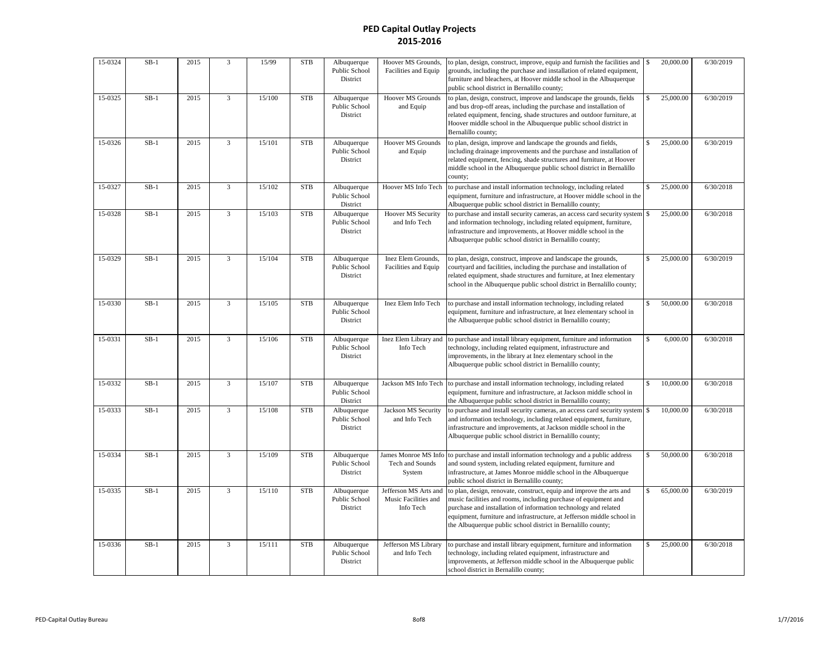| 15-0324 | $SB-1$ | 2015 | 3              | 15/99  | <b>STB</b> | Albuquerque<br>Public School<br>District | Hoover MS Grounds,<br>Facilities and Equip                 | to plan, design, construct, improve, equip and furnish the facilities and<br>grounds, including the purchase and installation of related equipment,<br>furniture and bleachers, at Hoover middle school in the Albuquerque<br>public school district in Bernalillo county;                                                                           | \$          | 20,000.00 | 6/30/2019 |
|---------|--------|------|----------------|--------|------------|------------------------------------------|------------------------------------------------------------|------------------------------------------------------------------------------------------------------------------------------------------------------------------------------------------------------------------------------------------------------------------------------------------------------------------------------------------------------|-------------|-----------|-----------|
| 15-0325 | $SB-1$ | 2015 | 3              | 15/100 | <b>STB</b> | Albuquerque<br>Public School<br>District | <b>Hoover MS Grounds</b><br>and Equip                      | to plan, design, construct, improve and landscape the grounds, fields<br>and bus drop-off areas, including the purchase and installation of<br>related equipment, fencing, shade structures and outdoor furniture, at<br>Hoover middle school in the Albuquerque public school district in<br>Bernalillo county;                                     |             | 25,000.00 | 6/30/2019 |
| 15-0326 | $SB-1$ | 2015 | 3              | 15/101 | <b>STB</b> | Albuquerque<br>Public School<br>District | Hoover MS Grounds<br>and Equip                             | to plan, design, improve and landscape the grounds and fields,<br>including drainage improvements and the purchase and installation of<br>related equipment, fencing, shade structures and furniture, at Hoover<br>middle school in the Albuquerque public school district in Bernalillo<br>county;                                                  |             | 25,000.00 | 6/30/2019 |
| 15-0327 | $SB-1$ | 2015 | 3              | 15/102 | <b>STB</b> | Albuquerque<br>Public School<br>District | Hoover MS Info Tech                                        | to purchase and install information technology, including related<br>equipment, furniture and infrastructure, at Hoover middle school in the<br>Albuquerque public school district in Bernalillo county;                                                                                                                                             |             | 25,000.00 | 6/30/2018 |
| 15-0328 | $SB-1$ | 2015 | $\overline{3}$ | 15/103 | <b>STB</b> | Albuquerque<br>Public School<br>District | <b>Hoover MS Security</b><br>and Info Tech                 | to purchase and install security cameras, an access card security system<br>and information technology, including related equipment, furniture,<br>infrastructure and improvements, at Hoover middle school in the<br>Albuquerque public school district in Bernalillo county;                                                                       | \$          | 25,000.00 | 6/30/2018 |
| 15-0329 | $SB-1$ | 2015 | $\overline{3}$ | 15/104 | <b>STB</b> | Albuquerque<br>Public School<br>District | Inez Elem Grounds,<br>Facilities and Equip                 | to plan, design, construct, improve and landscape the grounds,<br>courtyard and facilities, including the purchase and installation of<br>related equipment, shade structures and furniture, at Inez elementary<br>school in the Albuquerque public school district in Bernalillo county;                                                            |             | 25,000.00 | 6/30/2019 |
| 15-0330 | $SB-1$ | 2015 | 3              | 15/105 | <b>STB</b> | Albuquerque<br>Public School<br>District | Inez Elem Info Tech                                        | to purchase and install information technology, including related<br>equipment, furniture and infrastructure, at Inez elementary school in<br>the Albuquerque public school district in Bernalillo county;                                                                                                                                           |             | 50,000.00 | 6/30/2018 |
| 15-0331 | $SB-1$ | 2015 | $\overline{3}$ | 15/106 | <b>STB</b> | Albuquerque<br>Public School<br>District | Inez Elem Library and<br>Info Tech                         | to purchase and install library equipment, furniture and information<br>technology, including related equipment, infrastructure and<br>improvements, in the library at Inez elementary school in the<br>Albuquerque public school district in Bernalillo county;                                                                                     |             | 6,000.00  | 6/30/2018 |
| 15-0332 | $SB-1$ | 2015 | 3              | 15/107 | <b>STB</b> | Albuquerque<br>Public School<br>District | Jackson MS Info Tech                                       | to purchase and install information technology, including related<br>equipment, furniture and infrastructure, at Jackson middle school in<br>the Albuquerque public school district in Bernalillo county;                                                                                                                                            |             | 10,000.00 | 6/30/2018 |
| 15-0333 | $SB-1$ | 2015 | 3              | 15/108 | <b>STB</b> | Albuquerque<br>Public School<br>District | Jackson MS Security<br>and Info Tech                       | to purchase and install security cameras, an access card security system<br>and information technology, including related equipment, furniture,<br>infrastructure and improvements, at Jackson middle school in the<br>Albuquerque public school district in Bernalillo county;                                                                      | $\mathbb S$ | 10,000.00 | 6/30/2018 |
| 15-0334 | $SB-1$ | 2015 | 3              | 15/109 | <b>STB</b> | Albuquerque<br>Public School<br>District | James Monroe MS Info<br>Tech and Sounds<br>System          | to purchase and install information technology and a public address<br>and sound system, including related equipment, furniture and<br>infrastructure, at James Monroe middle school in the Albuquerque<br>public school district in Bernalillo county;                                                                                              | $\mathbb S$ | 50,000.00 | 6/30/2018 |
| 15-0335 | $SB-1$ | 2015 | 3              | 15/110 | <b>STB</b> | Albuquerque<br>Public School<br>District | Jefferson MS Arts and<br>Music Facilities and<br>Info Tech | to plan, design, renovate, construct, equip and improve the arts and<br>music facilities and rooms, including purchase of equipment and<br>purchase and installation of information technology and related<br>equipment, furniture and infrastructure, at Jefferson middle school in<br>the Albuquerque public school district in Bernalillo county; | \$          | 65,000.00 | 6/30/2019 |
| 15-0336 | $SB-1$ | 2015 | $\overline{3}$ | 15/111 | <b>STB</b> | Albuquerque<br>Public School<br>District | Jefferson MS Library<br>and Info Tech                      | to purchase and install library equipment, furniture and information<br>technology, including related equipment, infrastructure and<br>improvements, at Jefferson middle school in the Albuquerque public<br>school district in Bernalillo county;                                                                                                   | \$.         | 25,000.00 | 6/30/2018 |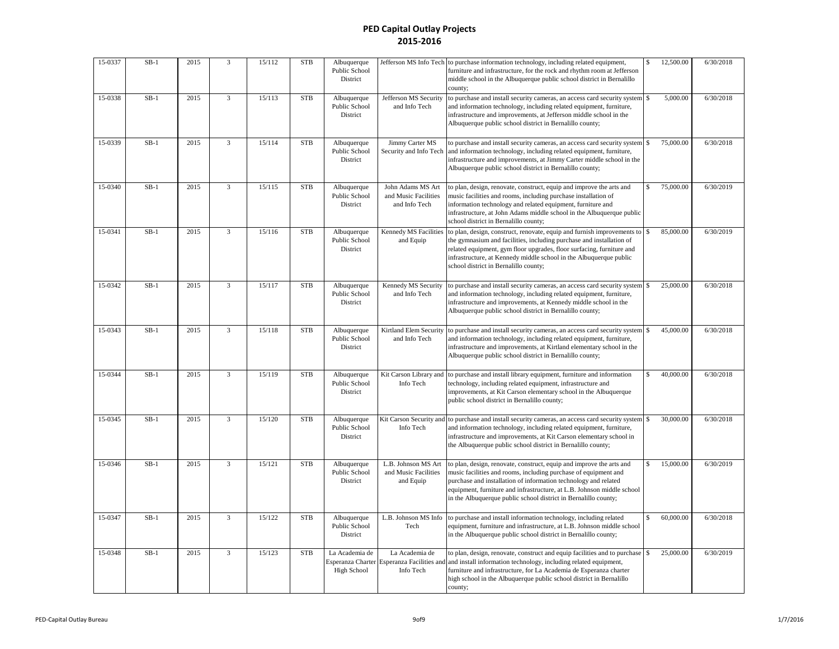| 15-0337 | $SB-1$ | 2015 | $\overline{3}$ | 15/112 | <b>STB</b> | Albuquerque<br>Public School<br>District | Jefferson MS Info Tech                                                    | to purchase information technology, including related equipment,<br>furniture and infrastructure, for the rock and rhythm room at Jefferson<br>middle school in the Albuquerque public school district in Bernalillo<br>county;                                                                                                                         | \$           | 12,500.00 | 6/30/2018 |
|---------|--------|------|----------------|--------|------------|------------------------------------------|---------------------------------------------------------------------------|---------------------------------------------------------------------------------------------------------------------------------------------------------------------------------------------------------------------------------------------------------------------------------------------------------------------------------------------------------|--------------|-----------|-----------|
| 15-0338 | $SB-1$ | 2015 | $\overline{3}$ | 15/113 | <b>STB</b> | Albuquerque<br>Public School<br>District | Jefferson MS Security<br>and Info Tech                                    | to purchase and install security cameras, an access card security system<br>and information technology, including related equipment, furniture,<br>infrastructure and improvements, at Jefferson middle school in the<br>Albuquerque public school district in Bernalillo county;                                                                       |              | 5,000.00  | 6/30/2018 |
| 15-0339 | $SB-1$ | 2015 | 3              | 15/114 | <b>STB</b> | Albuquerque<br>Public School<br>District | Jimmy Carter MS<br>Security and Info Tech                                 | to purchase and install security cameras, an access card security system<br>and information technology, including related equipment, furniture,<br>infrastructure and improvements, at Jimmy Carter middle school in the<br>Albuquerque public school district in Bernalillo county;                                                                    |              | 75,000.00 | 6/30/2018 |
| 15-0340 | $SB-1$ | 2015 | 3              | 15/115 | <b>STB</b> | Albuquerque<br>Public School<br>District | John Adams MS Art<br>and Music Facilities<br>and Info Tech                | to plan, design, renovate, construct, equip and improve the arts and<br>music facilities and rooms, including purchase installation of<br>information technology and related equipment, furniture and<br>infrastructure, at John Adams middle school in the Albuquerque public<br>school district in Bernalillo county;                                 | \$           | 75,000.00 | 6/30/2019 |
| 15-0341 | $SB-1$ | 2015 | $\overline{3}$ | 15/116 | <b>STB</b> | Albuquerque<br>Public School<br>District | Kennedy MS Facilities<br>and Equip                                        | to plan, design, construct, renovate, equip and furnish improvements to<br>the gymnasium and facilities, including purchase and installation of<br>related equipment, gym floor upgrades, floor surfacing, furniture and<br>infrastructure, at Kennedy middle school in the Albuquerque public<br>school district in Bernalillo county;                 | \$           | 85,000.00 | 6/30/2019 |
| 15-0342 | $SB-1$ | 2015 | 3              | 15/117 | <b>STB</b> | Albuquerque<br>Public School<br>District | Kennedy MS Security<br>and Info Tech                                      | to purchase and install security cameras, an access card security system<br>and information technology, including related equipment, furniture,<br>infrastructure and improvements, at Kennedy middle school in the<br>Albuquerque public school district in Bernalillo county;                                                                         | \$           | 25,000.00 | 6/30/2018 |
| 15-0343 | $SB-1$ | 2015 | 3              | 15/118 | <b>STB</b> | Albuquerque<br>Public School<br>District | Kirtland Elem Security<br>and Info Tech                                   | to purchase and install security cameras, an access card security system \$<br>and information technology, including related equipment, furniture,<br>infrastructure and improvements, at Kirtland elementary school in the<br>Albuquerque public school district in Bernalillo county;                                                                 |              | 45,000.00 | 6/30/2018 |
| 15-0344 | $SB-1$ | 2015 | $\overline{3}$ | 15/119 | <b>STB</b> | Albuquerque<br>Public School<br>District | Kit Carson Library and<br>Info Tech                                       | to purchase and install library equipment, furniture and information<br>technology, including related equipment, infrastructure and<br>improvements, at Kit Carson elementary school in the Albuquerque<br>public school district in Bernalillo county;                                                                                                 | \$           | 40,000.00 | 6/30/2018 |
| 15-0345 | $SB-1$ | 2015 | $\overline{3}$ | 15/120 | <b>STB</b> | Albuquerque<br>Public School<br>District | Kit Carson Security and<br>Info Tech                                      | to purchase and install security cameras, an access card security system<br>and information technology, including related equipment, furniture,<br>infrastructure and improvements, at Kit Carson elementary school in<br>the Albuquerque public school district in Bernalillo county;                                                                  | \$           | 30,000.00 | 6/30/2018 |
| 15-0346 | $SB-1$ | 2015 | $\overline{3}$ | 15/121 | <b>STB</b> | Albuquerque<br>Public School<br>District | L.B. Johnson MS Art<br>and Music Facilities<br>and Equip                  | to plan, design, renovate, construct, equip and improve the arts and<br>music facilities and rooms, including purchase of equipment and<br>purchase and installation of information technology and related<br>equipment, furniture and infrastructure, at L.B. Johnson middle school<br>in the Albuquerque public school district in Bernalillo county; | \$.          | 15,000.00 | 6/30/2019 |
| 15-0347 | $SB-1$ | 2015 | $\overline{3}$ | 15/122 | <b>STB</b> | Albuquerque<br>Public School<br>District | L.B. Johnson MS Info<br>Tech                                              | to purchase and install information technology, including related<br>equipment, furniture and infrastructure, at L.B. Johnson middle school<br>in the Albuquerque public school district in Bernalillo county;                                                                                                                                          | \$           | 60,000.00 | 6/30/2018 |
| 15-0348 | $SB-1$ | 2015 | $\overline{3}$ | 15/123 | <b>STB</b> | La Academia de<br>High School            | La Academia de<br>Esperanza Charter Esperanza Facilities and<br>Info Tech | to plan, design, renovate, construct and equip facilities and to purchase<br>and install information technology, including related equipment,<br>furniture and infrastructure, for La Academia de Esperanza charter<br>high school in the Albuquerque public school district in Bernalillo<br>county;                                                   | $\mathbb{S}$ | 25,000.00 | 6/30/2019 |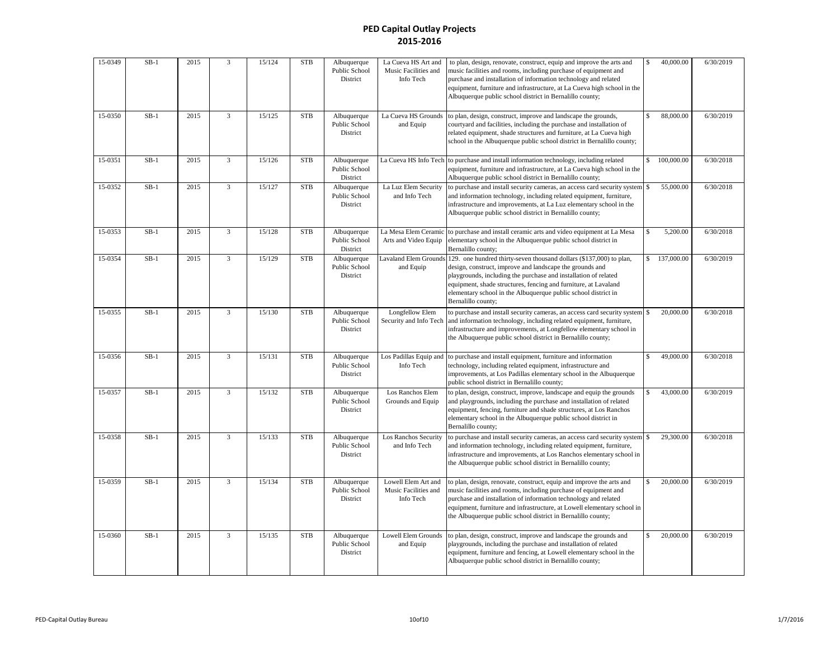| 15-0349 | $SB-1$ | 2015 | $\overline{3}$          | 15/124 | <b>STB</b> | Albuquerque<br>Public School<br>District        | La Cueva HS Art and<br>Music Facilities and<br>Info Tech | to plan, design, renovate, construct, equip and improve the arts and<br>music facilities and rooms, including purchase of equipment and<br>purchase and installation of information technology and related<br>equipment, furniture and infrastructure, at La Cueva high school in the<br>Albuquerque public school district in Bernalillo county;             | $\mathbf{\hat{S}}$ | 40,000.00  | 6/30/2019 |
|---------|--------|------|-------------------------|--------|------------|-------------------------------------------------|----------------------------------------------------------|---------------------------------------------------------------------------------------------------------------------------------------------------------------------------------------------------------------------------------------------------------------------------------------------------------------------------------------------------------------|--------------------|------------|-----------|
| 15-0350 | $SB-1$ | 2015 | 3                       | 15/125 | <b>STB</b> | Albuquerque<br><b>Public School</b><br>District | La Cueva HS Grounds<br>and Equip                         | to plan, design, construct, improve and landscape the grounds,<br>courtyard and facilities, including the purchase and installation of<br>related equipment, shade structures and furniture, at La Cueva high<br>school in the Albuquerque public school district in Bernalillo county;                                                                       | \$                 | 88,000.00  | 6/30/2019 |
| 15-0351 | $SB-1$ | 2015 | 3                       | 15/126 | <b>STB</b> | Albuquerque<br>Public School<br>District        |                                                          | La Cueva HS Info Tech to purchase and install information technology, including related<br>equipment, furniture and infrastructure, at La Cueva high school in the<br>Albuquerque public school district in Bernalillo county;                                                                                                                                | \$.                | 100,000.00 | 6/30/2018 |
| 15-0352 | $SB-1$ | 2015 | $\overline{3}$          | 15/127 | <b>STB</b> | Albuquerque<br>Public School<br>District        | La Luz Elem Security<br>and Info Tech                    | to purchase and install security cameras, an access card security system<br>and information technology, including related equipment, furniture,<br>infrastructure and improvements, at La Luz elementary school in the<br>Albuquerque public school district in Bernalillo county;                                                                            | \$                 | 55,000.00  | 6/30/2018 |
| 15-0353 | $SB-1$ | 2015 | $\overline{\mathbf{3}}$ | 15/128 | <b>STB</b> | Albuquerque<br>Public School<br>District        | La Mesa Elem Ceramic<br>Arts and Video Equip             | to purchase and install ceramic arts and video equipment at La Mesa<br>elementary school in the Albuquerque public school district in<br>Bernalillo county;                                                                                                                                                                                                   |                    | 5,200.00   | 6/30/2018 |
| 15-0354 | $SB-1$ | 2015 | 3                       | 15/129 | <b>STB</b> | Albuquerque<br>Public School<br>District        | <b>Lavaland Elem Grounds</b><br>and Equip                | 129. one hundred thirty-seven thousand dollars (\$137,000) to plan,<br>design, construct, improve and landscape the grounds and<br>playgrounds, including the purchase and installation of related<br>equipment, shade structures, fencing and furniture, at Lavaland<br>elementary school in the Albuquerque public school district in<br>Bernalillo county; | \$                 | 137,000.00 | 6/30/2019 |
| 15-0355 | $SB-1$ | 2015 | 3                       | 15/130 | <b>STB</b> | Albuquerque<br>Public School<br>District        | Longfellow Elem<br>Security and Info Tech                | to purchase and install security cameras, an access card security system \$<br>and information technology, including related equipment, furniture,<br>infrastructure and improvements, at Longfellow elementary school in<br>the Albuquerque public school district in Bernalillo county;                                                                     |                    | 20,000.00  | 6/30/2018 |
| 15-0356 | $SB-1$ | 2015 | $\overline{3}$          | 15/131 | <b>STB</b> | Albuquerque<br>Public School<br>District        | Los Padillas Equip and<br>Info Tech                      | to purchase and install equipment, furniture and information<br>technology, including related equipment, infrastructure and<br>improvements, at Los Padillas elementary school in the Albuquerque<br>public school district in Bernalillo county;                                                                                                             | $\mathbf{\hat{s}}$ | 49,000.00  | 6/30/2018 |
| 15-0357 | $SB-1$ | 2015 | $\overline{3}$          | 15/132 | <b>STB</b> | Albuquerque<br>Public School<br>District        | Los Ranchos Elem<br>Grounds and Equip                    | to plan, design, construct, improve, landscape and equip the grounds<br>and playgrounds, including the purchase and installation of related<br>equipment, fencing, furniture and shade structures, at Los Ranchos<br>elementary school in the Albuquerque public school district in<br>Bernalillo county;                                                     | \$                 | 43,000.00  | 6/30/2019 |
| 15-0358 | $SB-1$ | 2015 | 3                       | 15/133 | <b>STB</b> | Albuquerque<br>Public School<br>District        | Los Ranchos Security<br>and Info Tech                    | to purchase and install security cameras, an access card security system \$<br>and information technology, including related equipment, furniture,<br>infrastructure and improvements, at Los Ranchos elementary school in<br>the Albuquerque public school district in Bernalillo county;                                                                    |                    | 29,300.00  | 6/30/2018 |
| 15-0359 | $SB-1$ | 2015 | $\overline{3}$          | 15/134 | <b>STB</b> | Albuquerque<br>Public School<br>District        | Lowell Elem Art and<br>Music Facilities and<br>Info Tech | to plan, design, renovate, construct, equip and improve the arts and<br>music facilities and rooms, including purchase of equipment and<br>purchase and installation of information technology and related<br>equipment, furniture and infrastructure, at Lowell elementary school in<br>the Albuquerque public school district in Bernalillo county;         | \$                 | 20,000.00  | 6/30/2019 |
| 15-0360 | $SB-1$ | 2015 | 3                       | 15/135 | <b>STB</b> | Albuquerque<br>Public School<br>District        | Lowell Elem Grounds<br>and Equip                         | to plan, design, construct, improve and landscape the grounds and<br>playgrounds, including the purchase and installation of related<br>equipment, furniture and fencing, at Lowell elementary school in the<br>Albuquerque public school district in Bernalillo county;                                                                                      |                    | 20,000.00  | 6/30/2019 |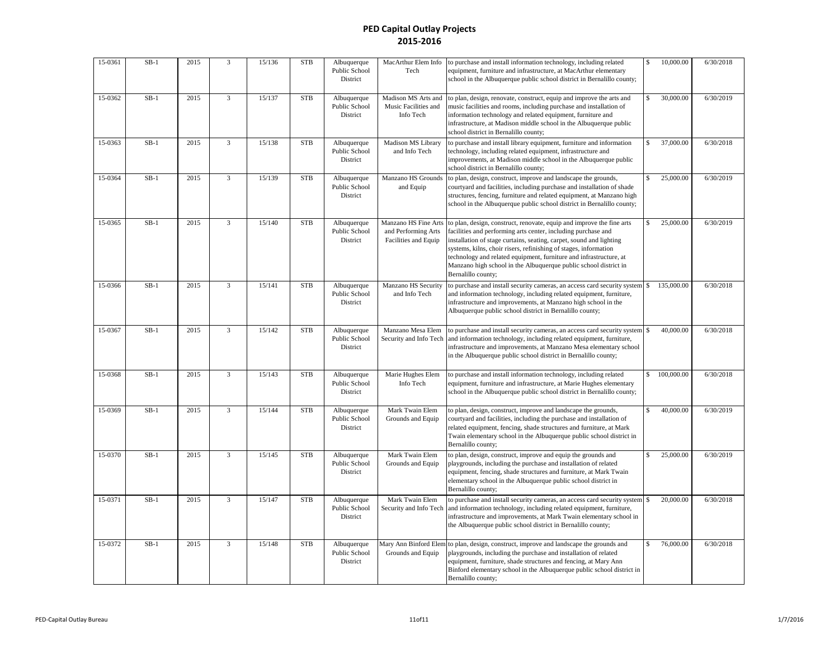| 15-0361 | $SB-1$ | 2015 | $\overline{3}$ | 15/136 | <b>STB</b> | Albuquerque<br>Public School<br>District | MacArthur Elem Info<br>Tech                                         | to purchase and install information technology, including related<br>equipment, furniture and infrastructure, at MacArthur elementary<br>school in the Albuquerque public school district in Bernalillo county;                                                                                                                                                                                                                                   | \$                 | 10,000.00  | 6/30/2018 |
|---------|--------|------|----------------|--------|------------|------------------------------------------|---------------------------------------------------------------------|---------------------------------------------------------------------------------------------------------------------------------------------------------------------------------------------------------------------------------------------------------------------------------------------------------------------------------------------------------------------------------------------------------------------------------------------------|--------------------|------------|-----------|
| 15-0362 | $SB-1$ | 2015 | 3              | 15/137 | <b>STB</b> | Albuquerque<br>Public School<br>District | Madison MS Arts and<br>Music Facilities and<br>Info Tech            | to plan, design, renovate, construct, equip and improve the arts and<br>music facilities and rooms, including purchase and installation of<br>information technology and related equipment, furniture and<br>infrastructure, at Madison middle school in the Albuquerque public<br>school district in Bernalillo county;                                                                                                                          | \$                 | 30,000.00  | 6/30/2019 |
| 15-0363 | $SB-1$ | 2015 | $\overline{3}$ | 15/138 | <b>STB</b> | Albuquerque<br>Public School<br>District | Madison MS Library<br>and Info Tech                                 | to purchase and install library equipment, furniture and information<br>technology, including related equipment, infrastructure and<br>improvements, at Madison middle school in the Albuquerque public<br>school district in Bernalillo county;                                                                                                                                                                                                  |                    | 37,000.00  | 6/30/2018 |
| 15-0364 | $SB-1$ | 2015 | $\overline{3}$ | 15/139 | <b>STB</b> | Albuquerque<br>Public School<br>District | Manzano HS Grounds<br>and Equip                                     | to plan, design, construct, improve and landscape the grounds,<br>courtyard and facilities, including purchase and installation of shade<br>structures, fencing, furniture and related equipment, at Manzano high<br>school in the Albuquerque public school district in Bernalillo county;                                                                                                                                                       |                    | 25,000.00  | 6/30/2019 |
| 15-0365 | $SB-1$ | 2015 | 3              | 15/140 | <b>STB</b> | Albuquerque<br>Public School<br>District | Manzano HS Fine Arts<br>and Performing Arts<br>Facilities and Equip | to plan, design, construct, renovate, equip and improve the fine arts<br>facilities and performing arts center, including purchase and<br>installation of stage curtains, seating, carpet, sound and lighting<br>systems, kilns, choir risers, refinishing of stages, information<br>technology and related equipment, furniture and infrastructure, at<br>Manzano high school in the Albuquerque public school district in<br>Bernalillo county; |                    | 25,000.00  | 6/30/2019 |
| 15-0366 | $SB-1$ | 2015 | 3              | 15/141 | <b>STB</b> | Albuquerque<br>Public School<br>District | Manzano HS Security<br>and Info Tech                                | to purchase and install security cameras, an access card security system<br>and information technology, including related equipment, furniture,<br>infrastructure and improvements, at Manzano high school in the<br>Albuquerque public school district in Bernalillo county;                                                                                                                                                                     |                    | 135,000.00 | 6/30/2018 |
| 15-0367 | $SB-1$ | 2015 | $\overline{3}$ | 15/142 | <b>STB</b> | Albuquerque<br>Public School<br>District | Manzano Mesa Elem<br>Security and Info Tech                         | to purchase and install security cameras, an access card security system<br>and information technology, including related equipment, furniture,<br>infrastructure and improvements, at Manzano Mesa elementary school<br>in the Albuquerque public school district in Bernalillo county;                                                                                                                                                          |                    | 40,000.00  | 6/30/2018 |
| 15-0368 | $SB-1$ | 2015 | 3              | 15/143 | <b>STB</b> | Albuquerque<br>Public School<br>District | Marie Hughes Elem<br>Info Tech                                      | to purchase and install information technology, including related<br>equipment, furniture and infrastructure, at Marie Hughes elementary<br>school in the Albuquerque public school district in Bernalillo county;                                                                                                                                                                                                                                | \$                 | 100,000.00 | 6/30/2018 |
| 15-0369 | $SB-1$ | 2015 | 3              | 15/144 | <b>STB</b> | Albuquerque<br>Public School<br>District | Mark Twain Elem<br>Grounds and Equip                                | to plan, design, construct, improve and landscape the grounds,<br>courtyard and facilities, including the purchase and installation of<br>related equipment, fencing, shade structures and furniture, at Mark<br>Twain elementary school in the Albuquerque public school district in<br>Bernalillo county;                                                                                                                                       |                    | 40,000.00  | 6/30/2019 |
| 15-0370 | $SB-1$ | 2015 | $\overline{3}$ | 15/145 | <b>STB</b> | Albuquerque<br>Public School<br>District | Mark Twain Elem<br>Grounds and Equip                                | to plan, design, construct, improve and equip the grounds and<br>playgrounds, including the purchase and installation of related<br>equipment, fencing, shade structures and furniture, at Mark Twain<br>elementary school in the Albuquerque public school district in<br>Bernalillo county;                                                                                                                                                     | $\mathbf{\hat{S}}$ | 25,000.00  | 6/30/2019 |
| 15-0371 | $SB-1$ | 2015 | 3              | 15/147 | <b>STB</b> | Albuquerque<br>Public School<br>District | Mark Twain Elem<br>Security and Info Tech                           | to purchase and install security cameras, an access card security system \$<br>and information technology, including related equipment, furniture,<br>infrastructure and improvements, at Mark Twain elementary school in<br>the Albuquerque public school district in Bernalillo county;                                                                                                                                                         |                    | 20,000.00  | 6/30/2018 |
| 15-0372 | $SB-1$ | 2015 | $\overline{3}$ | 15/148 | <b>STB</b> | Albuquerque<br>Public School<br>District | Mary Ann Binford Elen<br>Grounds and Equip                          | to plan, design, construct, improve and landscape the grounds and<br>playgrounds, including the purchase and installation of related<br>equipment, furniture, shade structures and fencing, at Mary Ann<br>Binford elementary school in the Albuquerque public school district in<br>Bernalillo county;                                                                                                                                           | $\mathbf{\hat{S}}$ | 76,000.00  | 6/30/2018 |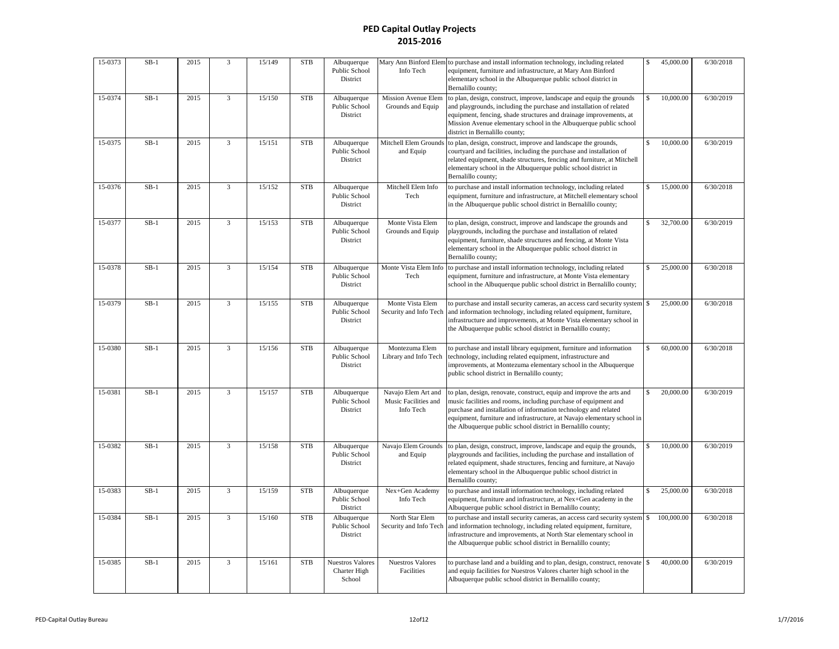| 15-0373 | $SB-1$ | 2015 | 3              | 15/149 | <b>STB</b>  | Albuquerque<br>Public School<br>District          | Mary Ann Binford Elem<br>Info Tech                       | to purchase and install information technology, including related<br>equipment, furniture and infrastructure, at Mary Ann Binford<br>elementary school in the Albuquerque public school district in<br>Bernalillo county;                                                                                                                             | \$                 | 45,000.00  | 6/30/2018 |
|---------|--------|------|----------------|--------|-------------|---------------------------------------------------|----------------------------------------------------------|-------------------------------------------------------------------------------------------------------------------------------------------------------------------------------------------------------------------------------------------------------------------------------------------------------------------------------------------------------|--------------------|------------|-----------|
| 15-0374 | $SB-1$ | 2015 | 3              | 15/150 | <b>STB</b>  | Albuquerque<br>Public School<br>District          | Mission Avenue Elem<br>Grounds and Equip                 | to plan, design, construct, improve, landscape and equip the grounds<br>and playgrounds, including the purchase and installation of related<br>equipment, fencing, shade structures and drainage improvements, at<br>Mission Avenue elementary school in the Albuquerque public school<br>district in Bernalillo county;                              |                    | 10,000.00  | 6/30/2019 |
| 15-0375 | $SB-1$ | 2015 | 3              | 15/151 | <b>STB</b>  | Albuquerque<br>Public School<br>District          | Mitchell Elem Grounds<br>and Equip                       | to plan, design, construct, improve and landscape the grounds,<br>courtyard and facilities, including the purchase and installation of<br>related equipment, shade structures, fencing and furniture, at Mitchell<br>elementary school in the Albuquerque public school district in<br>Bernalillo county;                                             | \$.                | 10,000.00  | 6/30/2019 |
| 15-0376 | $SB-1$ | 2015 | $\overline{3}$ | 15/152 | <b>STB</b>  | Albuquerque<br>Public School<br>District          | Mitchell Elem Info<br>Tech                               | to purchase and install information technology, including related<br>equipment, furniture and infrastructure, at Mitchell elementary school<br>in the Albuquerque public school district in Bernalillo county;                                                                                                                                        |                    | 15,000.00  | 6/30/2018 |
| 15-0377 | $SB-1$ | 2015 | $\overline{3}$ | 15/153 | <b>STB</b>  | Albuquerque<br>Public School<br>District          | Monte Vista Elem<br>Grounds and Equip                    | to plan, design, construct, improve and landscape the grounds and<br>playgrounds, including the purchase and installation of related<br>equipment, furniture, shade structures and fencing, at Monte Vista<br>elementary school in the Albuquerque public school district in<br>Bernalillo county;                                                    |                    | 32,700.00  | 6/30/2019 |
| 15-0378 | $SB-1$ | 2015 | $\overline{3}$ | 15/154 | ${\rm STB}$ | Albuquerque<br>Public School<br>District          | Monte Vista Elem Info<br>Tech                            | to purchase and install information technology, including related<br>equipment, furniture and infrastructure, at Monte Vista elementary<br>school in the Albuquerque public school district in Bernalillo county;                                                                                                                                     | \$                 | 25,000.00  | 6/30/2018 |
| 15-0379 | $SB-1$ | 2015 | $\overline{3}$ | 15/155 | <b>STB</b>  | Albuquerque<br>Public School<br>District          | Monte Vista Elem<br>Security and Info Tech               | to purchase and install security cameras, an access card security system<br>and information technology, including related equipment, furniture,<br>infrastructure and improvements, at Monte Vista elementary school in<br>the Albuquerque public school district in Bernalillo county;                                                               | $\mathbf{\hat{S}}$ | 25,000.00  | 6/30/2018 |
| 15-0380 | $SB-1$ | 2015 | $\overline{3}$ | 15/156 | ${\rm STB}$ | Albuquerque<br>Public School<br>District          | Montezuma Elem<br>Library and Info Tech                  | to purchase and install library equipment, furniture and information<br>technology, including related equipment, infrastructure and<br>improvements, at Montezuma elementary school in the Albuquerque<br>public school district in Bernalillo county;                                                                                                | \$                 | 60,000.00  | 6/30/2018 |
| 15-0381 | $SB-1$ | 2015 | $\overline{3}$ | 15/157 | STB         | Albuquerque<br>Public School<br>District          | Navajo Elem Art and<br>Music Facilities and<br>Info Tech | to plan, design, renovate, construct, equip and improve the arts and<br>music facilities and rooms, including purchase of equipment and<br>purchase and installation of information technology and related<br>equipment, furniture and infrastructure, at Navajo elementary school in<br>the Albuquerque public school district in Bernalillo county; | \$.                | 20,000.00  | 6/30/2019 |
| 15-0382 | $SB-1$ | 2015 | $\overline{3}$ | 15/158 | <b>STB</b>  | Albuquerque<br>Public School<br>District          | Navajo Elem Grounds<br>and Equip                         | to plan, design, construct, improve, landscape and equip the grounds,<br>playgrounds and facilities, including the purchase and installation of<br>related equipment, shade structures, fencing and furniture, at Navajo<br>elementary school in the Albuquerque public school district in<br>Bernalillo county;                                      | \$.                | 10,000.00  | 6/30/2019 |
| 15-0383 | $SB-1$ | 2015 | 3              | 15/159 | <b>STB</b>  | Albuquerque<br>Public School<br>District          | Nex+Gen Academy<br>Info Tech                             | to purchase and install information technology, including related<br>equipment, furniture and infrastructure, at Nex+Gen academy in the<br>Albuquerque public school district in Bernalillo county;                                                                                                                                                   |                    | 25,000.00  | 6/30/2018 |
| 15-0384 | $SB-1$ | 2015 | $\overline{3}$ | 15/160 | <b>STB</b>  | Albuquerque<br>Public School<br>District          | North Star Elem<br>Security and Info Tech                | to purchase and install security cameras, an access card security system<br>and information technology, including related equipment, furniture,<br>infrastructure and improvements, at North Star elementary school in<br>the Albuquerque public school district in Bernalillo county;                                                                | \$                 | 100,000.00 | 6/30/2018 |
| 15-0385 | $SB-1$ | 2015 | 3              | 15/161 | <b>STB</b>  | <b>Nuestros Valores</b><br>Charter High<br>School | <b>Nuestros Valores</b><br>Facilities                    | to purchase land and a building and to plan, design, construct, renovate<br>and equip facilities for Nuestros Valores charter high school in the<br>Albuquerque public school district in Bernalillo county;                                                                                                                                          | \$                 | 40,000.00  | 6/30/2019 |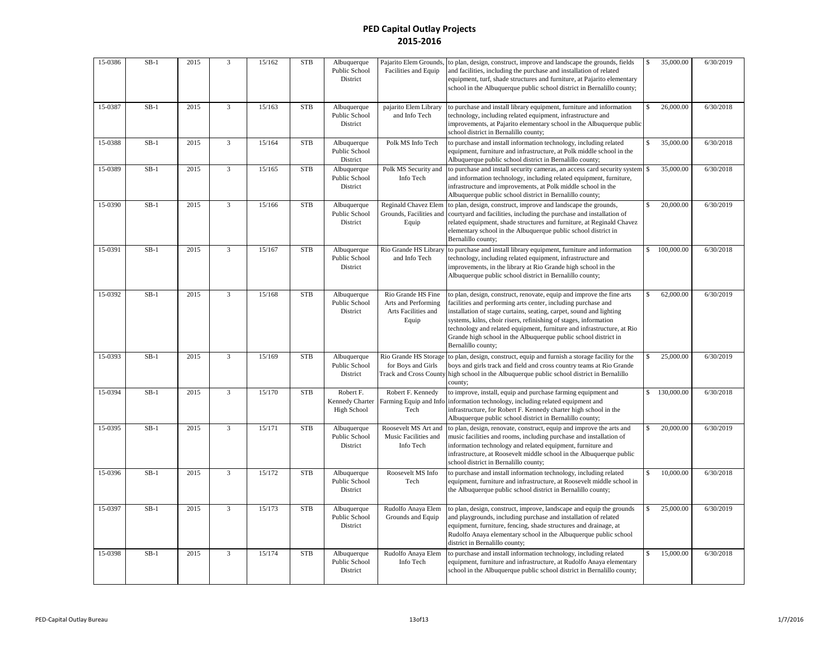| 15-0386 | $SB-1$ | 2015 | $\overline{3}$ | 15/162 | <b>STB</b> | Albuquerque<br>Public School<br>District        | Pajarito Elem Grounds<br>Facilities and Equip                             | to plan, design, construct, improve and landscape the grounds, fields<br>and facilities, including the purchase and installation of related<br>equipment, turf, shade structures and furniture, at Pajarito elementary<br>school in the Albuquerque public school district in Bernalillo county;                                                                                                                                                     | \$                 | 35,000.00  | 6/30/2019 |
|---------|--------|------|----------------|--------|------------|-------------------------------------------------|---------------------------------------------------------------------------|------------------------------------------------------------------------------------------------------------------------------------------------------------------------------------------------------------------------------------------------------------------------------------------------------------------------------------------------------------------------------------------------------------------------------------------------------|--------------------|------------|-----------|
| 15-0387 | $SB-1$ | 2015 | $\overline{3}$ | 15/163 | <b>STB</b> | Albuquerque<br>Public School<br>District        | pajarito Elem Library<br>and Info Tech                                    | to purchase and install library equipment, furniture and information<br>technology, including related equipment, infrastructure and<br>improvements, at Pajarito elementary school in the Albuquerque public<br>school district in Bernalillo county;                                                                                                                                                                                                | \$                 | 26,000.00  | 6/30/2018 |
| 15-0388 | $SB-1$ | 2015 | $\overline{3}$ | 15/164 | <b>STB</b> | Albuquerque<br>Public School<br>District        | Polk MS Info Tech                                                         | to purchase and install information technology, including related<br>equipment, furniture and infrastructure, at Polk middle school in the<br>Albuquerque public school district in Bernalillo county;                                                                                                                                                                                                                                               | $\mathbf{\hat{S}}$ | 35,000.00  | 6/30/2018 |
| 15-0389 | $SB-1$ | 2015 | $\overline{3}$ | 15/165 | <b>STB</b> | Albuquerque<br>Public School<br>District        | Polk MS Security and<br>Info Tech                                         | to purchase and install security cameras, an access card security system<br>and information technology, including related equipment, furniture,<br>infrastructure and improvements, at Polk middle school in the<br>Albuquerque public school district in Bernalillo county;                                                                                                                                                                         | $\mathbf S$        | 35,000.00  | 6/30/2018 |
| 15-0390 | $SB-1$ | 2015 | 3              | 15/166 | <b>STB</b> | Albuquerque<br>Public School<br>District        | <b>Reginald Chavez Elem</b><br>Grounds, Facilities and<br>Equip           | to plan, design, construct, improve and landscape the grounds,<br>courtyard and facilities, including the purchase and installation of<br>related equipment, shade structures and furniture, at Reginald Chavez<br>elementary school in the Albuquerque public school district in<br>Bernalillo county;                                                                                                                                              | \$.                | 20,000.00  | 6/30/2019 |
| 15-0391 | $SB-1$ | 2015 | 3              | 15/167 | <b>STB</b> | Albuquerque<br>Public School<br>District        | Rio Grande HS Library<br>and Info Tech                                    | to purchase and install library equipment, furniture and information<br>technology, including related equipment, infrastructure and<br>improvements, in the library at Rio Grande high school in the<br>Albuquerque public school district in Bernalillo county;                                                                                                                                                                                     | $\mathsf{s}$       | 100,000.00 | 6/30/2018 |
| 15-0392 | $SB-1$ | 2015 | 3              | 15/168 | <b>STB</b> | Albuquerque<br>Public School<br>District        | Rio Grande HS Fine<br>Arts and Performing<br>Arts Facilities and<br>Equip | to plan, design, construct, renovate, equip and improve the fine arts<br>facilities and performing arts center, including purchase and<br>installation of stage curtains, seating, carpet, sound and lighting<br>systems, kilns, choir risers, refinishing of stages, information<br>technology and related equipment, furniture and infrastructure, at Rio<br>Grande high school in the Albuquerque public school district in<br>Bernalillo county; | \$                 | 62,000.00  | 6/30/2019 |
| 15-0393 | $SB-1$ | 2015 | $\overline{3}$ | 15/169 | <b>STB</b> | Albuquerque<br>Public School<br>District        | Rio Grande HS Storage<br>for Boys and Girls                               | to plan, design, construct, equip and furnish a storage facility for the<br>boys and girls track and field and cross country teams at Rio Grande<br>Track and Cross County high school in the Albuquerque public school district in Bernalillo<br>county;                                                                                                                                                                                            |                    | 25,000.00  | 6/30/2019 |
| 15-0394 | $SB-1$ | 2015 | 3              | 15/170 | <b>STB</b> | Robert F.<br>Kennedy Charter<br>High School     | Robert F. Kennedy<br>Farming Equip and Info<br>Tech                       | to improve, install, equip and purchase farming equipment and<br>information technology, including related equipment and<br>infrastructure, for Robert F. Kennedy charter high school in the<br>Albuquerque public school district in Bernalillo county;                                                                                                                                                                                             | $\mathbb S$        | 130,000.00 | 6/30/2018 |
| 15-0395 | $SB-1$ | 2015 | 3              | 15/171 | <b>STB</b> | Albuquerque<br>Public School<br>District        | Roosevelt MS Art and<br>Music Facilities and<br>Info Tech                 | to plan, design, renovate, construct, equip and improve the arts and<br>music facilities and rooms, including purchase and installation of<br>information technology and related equipment, furniture and<br>infrastructure, at Roosevelt middle school in the Albuquerque public<br>school district in Bernalillo county;                                                                                                                           | $\mathbf S$        | 20,000.00  | 6/30/2019 |
| 15-0396 | $SB-1$ | 2015 | $\overline{3}$ | 15/172 | <b>STB</b> | Albuquerque<br>Public School<br>District        | Roosevelt MS Info<br>Tech                                                 | to purchase and install information technology, including related<br>equipment, furniture and infrastructure, at Roosevelt middle school in<br>the Albuquerque public school district in Bernalillo county;                                                                                                                                                                                                                                          | \$                 | 10,000.00  | 6/30/2018 |
| 15-0397 | $SB-1$ | 2015 | $\overline{3}$ | 15/173 | <b>STB</b> | Albuquerque<br>Public School<br>District        | Rudolfo Anaya Elem<br>Grounds and Equip                                   | to plan, design, construct, improve, landscape and equip the grounds<br>and playgrounds, including purchase and installation of related<br>equipment, furniture, fencing, shade structures and drainage, at<br>Rudolfo Anaya elementary school in the Albuquerque public school<br>district in Bernalillo county;                                                                                                                                    |                    | 25,000.00  | 6/30/2019 |
| 15-0398 | $SB-1$ | 2015 | 3              | 15/174 | <b>STB</b> | Albuquerque<br><b>Public School</b><br>District | Rudolfo Anaya Elem<br>Info Tech                                           | to purchase and install information technology, including related<br>equipment, furniture and infrastructure, at Rudolfo Anaya elementary<br>school in the Albuquerque public school district in Bernalillo county;                                                                                                                                                                                                                                  | \$                 | 15,000.00  | 6/30/2018 |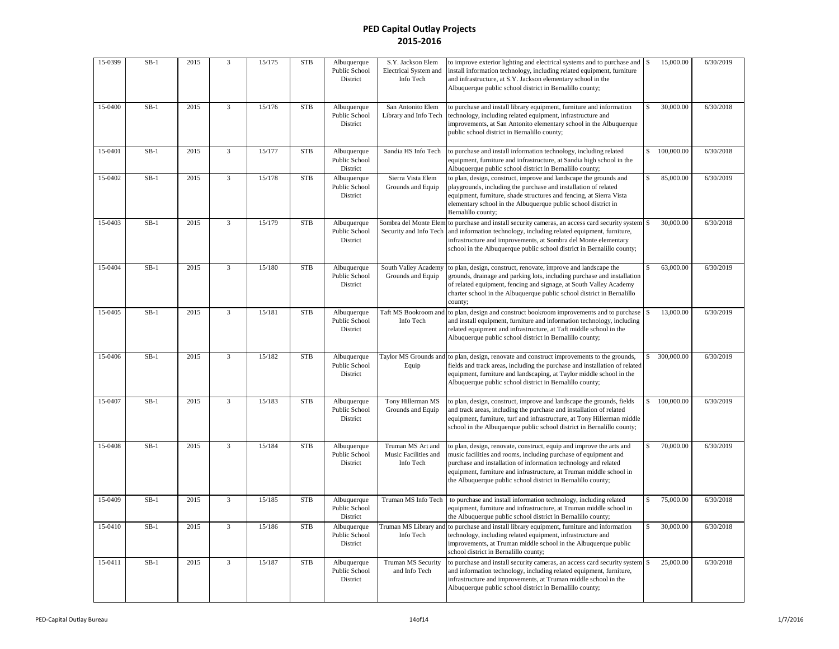| 15-0399 | $SB-1$ | 2015 | 3                       | 15/175 | <b>STB</b> | Albuquerque<br>Public School<br>District | S.Y. Jackson Elem<br>Electrical System and<br>Info Tech | to improve exterior lighting and electrical systems and to purchase and<br>install information technology, including related equipment, furniture<br>and infrastructure, at S.Y. Jackson elementary school in the<br>Albuquerque public school district in Bernalillo county;                                                                     | \$                 | 15,000.00  | 6/30/2019 |
|---------|--------|------|-------------------------|--------|------------|------------------------------------------|---------------------------------------------------------|---------------------------------------------------------------------------------------------------------------------------------------------------------------------------------------------------------------------------------------------------------------------------------------------------------------------------------------------------|--------------------|------------|-----------|
| 15-0400 | $SB-1$ | 2015 | 3                       | 15/176 | <b>STB</b> | Albuquerque<br>Public School<br>District | San Antonito Elem<br>Library and Info Tech              | to purchase and install library equipment, furniture and information<br>technology, including related equipment, infrastructure and<br>improvements, at San Antonito elementary school in the Albuquerque<br>public school district in Bernalillo county;                                                                                         |                    | 30,000.00  | 6/30/2018 |
| 15-0401 | $SB-1$ | 2015 | 3                       | 15/177 | <b>STB</b> | Albuquerque<br>Public School<br>District | Sandia HS Info Tech                                     | to purchase and install information technology, including related<br>equipment, furniture and infrastructure, at Sandia high school in the<br>Albuquerque public school district in Bernalillo county;                                                                                                                                            |                    | 100,000.00 | 6/30/2018 |
| 15-0402 | $SB-1$ | 2015 | $\overline{\mathbf{3}}$ | 15/178 | <b>STB</b> | Albuquerque<br>Public School<br>District | Sierra Vista Elem<br>Grounds and Equip                  | to plan, design, construct, improve and landscape the grounds and<br>playgrounds, including the purchase and installation of related<br>equipment, furniture, shade structures and fencing, at Sierra Vista<br>elementary school in the Albuquerque public school district in<br>Bernalillo county;                                               |                    | 85,000.00  | 6/30/2019 |
| 15-0403 | $SB-1$ | 2015 | 3                       | 15/179 | <b>STB</b> | Albuquerque<br>Public School<br>District | Sombra del Monte Elem<br>Security and Info Tech         | to purchase and install security cameras, an access card security system<br>and information technology, including related equipment, furniture,<br>infrastructure and improvements, at Sombra del Monte elementary<br>school in the Albuquerque public school district in Bernalillo county;                                                      | \$                 | 30,000.00  | 6/30/2018 |
| 15-0404 | $SB-1$ | 2015 | $\overline{3}$          | 15/180 | <b>STB</b> | Albuquerque<br>Public School<br>District | South Valley Academy<br>Grounds and Equip               | to plan, design, construct, renovate, improve and landscape the<br>grounds, drainage and parking lots, including purchase and installation<br>of related equipment, fencing and signage, at South Valley Academy<br>charter school in the Albuquerque public school district in Bernalillo<br>county;                                             |                    | 63,000.00  | 6/30/2019 |
| 15-0405 | $SB-1$ | 2015 | 3                       | 15/181 | <b>STB</b> | Albuquerque<br>Public School<br>District | Taft MS Bookroom and<br>Info Tech                       | to plan, design and construct bookroom improvements and to purchase<br>and install equipment, furniture and information technology, including<br>related equipment and infrastructure, at Taft middle school in the<br>Albuquerque public school district in Bernalillo county;                                                                   | \$                 | 13,000.00  | 6/30/2019 |
| 15-0406 | $SB-1$ | 2015 | $\overline{3}$          | 15/182 | <b>STB</b> | Albuquerque<br>Public School<br>District | Taylor MS Grounds and<br>Equip                          | to plan, design, renovate and construct improvements to the grounds,<br>fields and track areas, including the purchase and installation of related<br>equipment, furniture and landscaping, at Taylor middle school in the<br>Albuquerque public school district in Bernalillo county;                                                            |                    | 300,000.00 | 6/30/2019 |
| 15-0407 | $SB-1$ | 2015 | 3                       | 15/183 | <b>STB</b> | Albuquerque<br>Public School<br>District | Tony Hillerman MS<br>Grounds and Equip                  | to plan, design, construct, improve and landscape the grounds, fields<br>and track areas, including the purchase and installation of related<br>equipment, furniture, turf and infrastructure, at Tony Hillerman middle<br>school in the Albuquerque public school district in Bernalillo county;                                                 | $\mathbf{\hat{S}}$ | 100,000.00 | 6/30/2019 |
| 15-0408 | $SB-1$ | 2015 | 3                       | 15/184 | <b>STB</b> | Albuquerque<br>Public School<br>District | Truman MS Art and<br>Music Facilities and<br>Info Tech  | to plan, design, renovate, construct, equip and improve the arts and<br>music facilities and rooms, including purchase of equipment and<br>purchase and installation of information technology and related<br>equipment, furniture and infrastructure, at Truman middle school in<br>the Albuquerque public school district in Bernalillo county; | \$                 | 70,000.00  | 6/30/2019 |
| 15-0409 | $SB-1$ | 2015 | 3                       | 15/185 | <b>STB</b> | Albuquerque<br>Public School<br>District | Truman MS Info Tech                                     | to purchase and install information technology, including related<br>equipment, furniture and infrastructure, at Truman middle school in<br>the Albuquerque public school district in Bernalillo county;                                                                                                                                          |                    | 75,000.00  | 6/30/2018 |
| 15-0410 | $SB-1$ | 2015 | $\overline{3}$          | 15/186 | <b>STB</b> | Albuquerque<br>Public School<br>District | Truman MS Library and<br>Info Tech                      | to purchase and install library equipment, furniture and information<br>technology, including related equipment, infrastructure and<br>improvements, at Truman middle school in the Albuquerque public<br>school district in Bernalillo county;                                                                                                   | $\mathbb S$        | 30,000.00  | 6/30/2018 |
| 15-0411 | $SB-1$ | 2015 | $\overline{3}$          | 15/187 | <b>STB</b> | Albuquerque<br>Public School<br>District | <b>Truman MS Security</b><br>and Info Tech              | to purchase and install security cameras, an access card security system<br>and information technology, including related equipment, furniture,<br>infrastructure and improvements, at Truman middle school in the<br>Albuquerque public school district in Bernalillo county;                                                                    |                    | 25,000.00  | 6/30/2018 |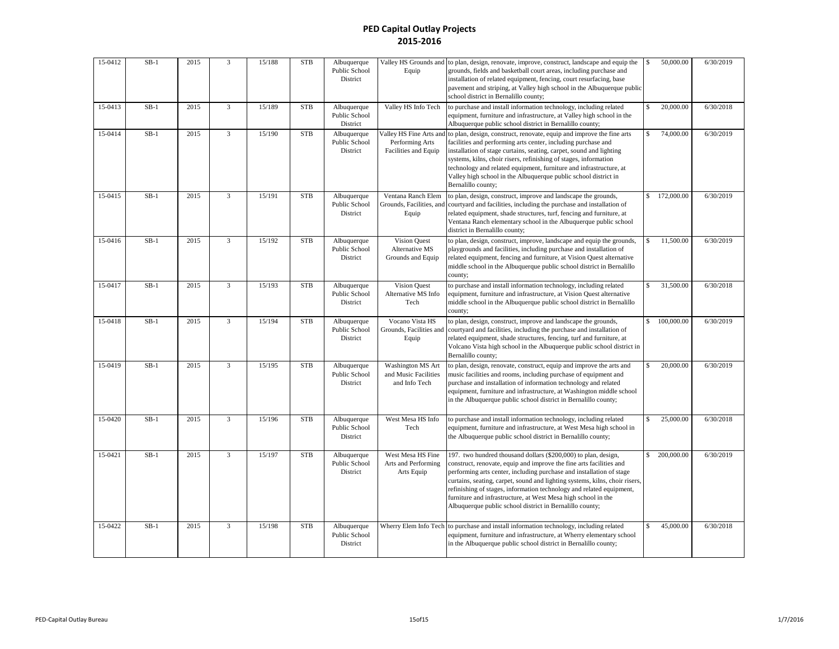| 15-0412 | $SB-1$ | 2015 | $\overline{3}$ | 15/188 | <b>STB</b> | Albuquerque<br>Public School<br>District | Equip                                                              | Valley HS Grounds and to plan, design, renovate, improve, construct, landscape and equip the<br>grounds, fields and basketball court areas, including purchase and<br>installation of related equipment, fencing, court resurfacing, base<br>pavement and striping, at Valley high school in the Albuquerque public<br>school district in Bernalillo county;                                                                                                                                      | <sup>\$</sup>      | 50,000.00  | 6/30/2019 |
|---------|--------|------|----------------|--------|------------|------------------------------------------|--------------------------------------------------------------------|---------------------------------------------------------------------------------------------------------------------------------------------------------------------------------------------------------------------------------------------------------------------------------------------------------------------------------------------------------------------------------------------------------------------------------------------------------------------------------------------------|--------------------|------------|-----------|
| 15-0413 | $SB-1$ | 2015 | $\overline{3}$ | 15/189 | <b>STB</b> | Albuquerque<br>Public School<br>District | Valley HS Info Tech                                                | to purchase and install information technology, including related<br>equipment, furniture and infrastructure, at Valley high school in the<br>Albuquerque public school district in Bernalillo county;                                                                                                                                                                                                                                                                                            | \$                 | 20,000.00  | 6/30/2018 |
| 15-0414 | $SB-1$ | 2015 | 3              | 15/190 | <b>STB</b> | Albuquerque<br>Public School<br>District | Valley HS Fine Arts and<br>Performing Arts<br>Facilities and Equip | to plan, design, construct, renovate, equip and improve the fine arts<br>facilities and performing arts center, including purchase and<br>installation of stage curtains, seating, carpet, sound and lighting<br>systems, kilns, choir risers, refinishing of stages, information<br>technology and related equipment, furniture and infrastructure, at<br>Valley high school in the Albuquerque public school district in<br>Bernalillo county;                                                  | $\mathbf{\hat{S}}$ | 74,000.00  | 6/30/2019 |
| 15-0415 | $SB-1$ | 2015 | $\overline{3}$ | 15/191 | <b>STB</b> | Albuquerque<br>Public School<br>District | Ventana Ranch Elem<br>Grounds, Facilities, and<br>Equip            | to plan, design, construct, improve and landscape the grounds,<br>courtyard and facilities, including the purchase and installation of<br>related equipment, shade structures, turf, fencing and furniture, at<br>Ventana Ranch elementary school in the Albuquerque public school<br>district in Bernalillo county;                                                                                                                                                                              | $\mathbb{S}$       | 172,000.00 | 6/30/2019 |
| 15-0416 | $SB-1$ | 2015 | $\overline{3}$ | 15/192 | <b>STB</b> | Albuquerque<br>Public School<br>District | Vision Quest<br>Alternative MS<br>Grounds and Equip                | to plan, design, construct, improve, landscape and equip the grounds,<br>playgrounds and facilities, including purchase and installation of<br>related equipment, fencing and furniture, at Vision Quest alternative<br>middle school in the Albuquerque public school district in Bernalillo<br>county;                                                                                                                                                                                          |                    | 11,500.00  | 6/30/2019 |
| 15-0417 | $SB-1$ | 2015 | 3              | 15/193 | <b>STB</b> | Albuquerque<br>Public School<br>District | Vision Quest<br>Alternative MS Info<br>Tech                        | to purchase and install information technology, including related<br>equipment, furniture and infrastructure, at Vision Quest alternative<br>middle school in the Albuquerque public school district in Bernalillo<br>county;                                                                                                                                                                                                                                                                     | $\mathbf{\hat{S}}$ | 31,500.00  | 6/30/2018 |
| 15-0418 | $SB-1$ | 2015 | 3              | 15/194 | <b>STB</b> | Albuquerque<br>Public School<br>District | Vocano Vista HS<br>Grounds, Facilities and<br>Equip                | to plan, design, construct, improve and landscape the grounds,<br>courtyard and facilities, including the purchase and installation of<br>related equipment, shade structures, fencing, turf and furniture, at<br>Volcano Vista high school in the Albuquerque public school district in<br>Bernalillo county;                                                                                                                                                                                    | \$                 | 100,000.00 | 6/30/2019 |
| 15-0419 | $SB-1$ | 2015 | $\overline{3}$ | 15/195 | <b>STB</b> | Albuquerque<br>Public School<br>District | <b>Washington MS Art</b><br>and Music Facilities<br>and Info Tech  | to plan, design, renovate, construct, equip and improve the arts and<br>music facilities and rooms, including purchase of equipment and<br>purchase and installation of information technology and related<br>equipment, furniture and infrastructure, at Washington middle school<br>in the Albuquerque public school district in Bernalillo county;                                                                                                                                             | $\mathbf{\hat{S}}$ | 20,000.00  | 6/30/2019 |
| 15-0420 | $SB-1$ | 2015 | $\overline{3}$ | 15/196 | <b>STB</b> | Albuquerque<br>Public School<br>District | West Mesa HS Info<br>Tech                                          | to purchase and install information technology, including related<br>equipment, furniture and infrastructure, at West Mesa high school in<br>the Albuquerque public school district in Bernalillo county;                                                                                                                                                                                                                                                                                         | \$                 | 25,000.00  | 6/30/2018 |
| 15-0421 | $SB-1$ | 2015 | $\overline{3}$ | 15/197 | <b>STB</b> | Albuquerque<br>Public School<br>District | West Mesa HS Fine<br>Arts and Performing<br>Arts Equip             | 197. two hundred thousand dollars (\$200,000) to plan, design,<br>construct, renovate, equip and improve the fine arts facilities and<br>performing arts center, including purchase and installation of stage<br>curtains, seating, carpet, sound and lighting systems, kilns, choir risers,<br>refinishing of stages, information technology and related equipment,<br>furniture and infrastructure, at West Mesa high school in the<br>Albuquerque public school district in Bernalillo county; | $\mathbf{\hat{S}}$ | 200,000.00 | 6/30/2019 |
| 15-0422 | $SB-1$ | 2015 | 3              | 15/198 | <b>STB</b> | Albuquerque<br>Public School<br>District |                                                                    | Wherry Elem Info Tech to purchase and install information technology, including related<br>equipment, furniture and infrastructure, at Wherry elementary school<br>in the Albuquerque public school district in Bernalillo county;                                                                                                                                                                                                                                                                | \$                 | 45,000.00  | 6/30/2018 |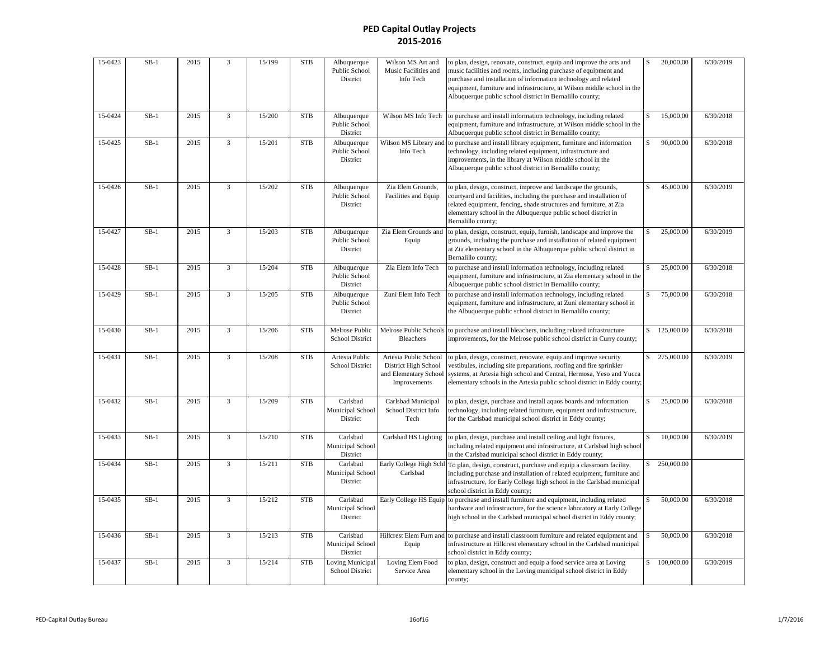| 15-0423 | $SB-1$ | 2015 | $\overline{3}$ | 15/199 | <b>STB</b> | Albuquerque<br>Public School<br>District   | Wilson MS Art and<br>Music Facilities and<br>Info Tech                                 | to plan, design, renovate, construct, equip and improve the arts and<br>music facilities and rooms, including purchase of equipment and<br>purchase and installation of information technology and related<br>equipment, furniture and infrastructure, at Wilson middle school in the<br>Albuquerque public school district in Bernalillo county; | \$          | 20,000.00     | 6/30/2019 |
|---------|--------|------|----------------|--------|------------|--------------------------------------------|----------------------------------------------------------------------------------------|---------------------------------------------------------------------------------------------------------------------------------------------------------------------------------------------------------------------------------------------------------------------------------------------------------------------------------------------------|-------------|---------------|-----------|
| 15-0424 | $SB-1$ | 2015 | $\overline{3}$ | 15/200 | <b>STB</b> | Albuquerque<br>Public School<br>District   | Wilson MS Info Tech                                                                    | to purchase and install information technology, including related<br>equipment, furniture and infrastructure, at Wilson middle school in the<br>Albuquerque public school district in Bernalillo county;                                                                                                                                          | \$          | 15,000.00     | 6/30/2018 |
| 15-0425 | $SB-1$ | 2015 | 3              | 15/201 | <b>STB</b> | Albuquerque<br>Public School<br>District   | Wilson MS Library and<br>Info Tech                                                     | to purchase and install library equipment, furniture and information<br>technology, including related equipment, infrastructure and<br>improvements, in the library at Wilson middle school in the<br>Albuquerque public school district in Bernalillo county;                                                                                    | $\mathbf S$ | 90,000.00     | 6/30/2018 |
| 15-0426 | $SB-1$ | 2015 | 3              | 15/202 | <b>STB</b> | Albuquerque<br>Public School<br>District   | Zia Elem Grounds,<br>Facilities and Equip                                              | to plan, design, construct, improve and landscape the grounds,<br>courtyard and facilities, including the purchase and installation of<br>related equipment, fencing, shade structures and furniture, at Zia<br>elementary school in the Albuquerque public school district in<br>Bernalillo county;                                              | \$          | 45,000.00     | 6/30/2019 |
| 15-0427 | $SB-1$ | 2015 | $\overline{3}$ | 15/203 | <b>STB</b> | Albuquerque<br>Public School<br>District   | Zia Elem Grounds and<br>Equip                                                          | to plan, design, construct, equip, furnish, landscape and improve the<br>grounds, including the purchase and installation of related equipment<br>at Zia elementary school in the Albuquerque public school district in<br>Bernalillo county;                                                                                                     |             | 25,000.00     | 6/30/2019 |
| 15-0428 | $SB-1$ | 2015 | $\overline{3}$ | 15/204 | <b>STB</b> | Albuquerque<br>Public School<br>District   | Zia Elem Info Tech                                                                     | to purchase and install information technology, including related<br>equipment, furniture and infrastructure, at Zia elementary school in the<br>Albuquerque public school district in Bernalillo county;                                                                                                                                         |             | 25,000.00     | 6/30/2018 |
| 15-0429 | $SB-1$ | 2015 | $\overline{3}$ | 15/205 | <b>STB</b> | Albuquerque<br>Public School<br>District   | Zuni Elem Info Tech                                                                    | to purchase and install information technology, including related<br>equipment, furniture and infrastructure, at Zuni elementary school in<br>the Albuquerque public school district in Bernalillo county;                                                                                                                                        | \$          | 75,000.00     | 6/30/2018 |
| 15-0430 | $SB-1$ | 2015 | $\overline{3}$ | 15/206 | <b>STB</b> | Melrose Public<br><b>School District</b>   | Melrose Public Schools<br><b>Bleachers</b>                                             | to purchase and install bleachers, including related infrastructure<br>improvements, for the Melrose public school district in Curry county;                                                                                                                                                                                                      | \$          | 125,000.00    | 6/30/2018 |
| 15-0431 | $SB-1$ | 2015 | $\overline{3}$ | 15/208 | <b>STB</b> | Artesia Public<br>School District          | Artesia Public School<br>District High School<br>and Elementary School<br>Improvements | to plan, design, construct, renovate, equip and improve security<br>vestibules, including site preparations, roofing and fire sprinkler<br>systems, at Artesia high school and Central, Hermosa, Yeso and Yucca<br>elementary schools in the Artesia public school district in Eddy county;                                                       |             | \$ 275,000.00 | 6/30/2019 |
| 15-0432 | $SB-1$ | 2015 | $\overline{3}$ | 15/209 | <b>STB</b> | Carlsbad<br>Municipal School<br>District   | Carlsbad Municipal<br>School District Info<br>Tech                                     | to plan, design, purchase and install aquos boards and information<br>technology, including related furniture, equipment and infrastructure,<br>for the Carlsbad municipal school district in Eddy county;                                                                                                                                        |             | 25,000.00     | 6/30/2018 |
| 15-0433 | $SB-1$ | 2015 | $\overline{3}$ | 15/210 | <b>STB</b> | Carlsbad<br>Municipal School<br>District   | Carlsbad HS Lighting                                                                   | to plan, design, purchase and install ceiling and light fixtures,<br>including related equipment and infrastructure, at Carlsbad high school<br>in the Carlsbad municipal school district in Eddy county;                                                                                                                                         | $\mathbf S$ | 10,000.00     | 6/30/2019 |
| 15-0434 | $SB-1$ | 2015 | 3              | 15/211 | <b>STB</b> | Carlsbad<br>Municipal School<br>District   | Early College High Schl<br>Carlsbad                                                    | To plan, design, construct, purchase and equip a classroom facility,<br>including purchase and installation of related equipment, furniture and<br>infrastructure, for Early College high school in the Carlsbad municipal<br>school district in Eddy county;                                                                                     | \$          | 250,000.00    |           |
| 15-0435 | $SB-1$ | 2015 | $\overline{3}$ | 15/212 | <b>STB</b> | Carlsbad<br>Municipal School<br>District   | Early College HS Equip                                                                 | to purchase and install furniture and equipment, including related<br>hardware and infrastructure, for the science laboratory at Early College<br>high school in the Carlsbad municipal school district in Eddy county;                                                                                                                           |             | 50,000.00     | 6/30/2018 |
| 15-0436 | $SB-1$ | 2015 | $\overline{3}$ | 15/213 | <b>STB</b> | Carlsbad<br>Municipal School<br>District   | Hillcrest Elem Furn and<br>Equip                                                       | to purchase and install classroom furniture and related equipment and<br>infrastructure at Hillcrest elementary school in the Carlsbad municipal<br>school district in Eddy county;                                                                                                                                                               |             | 50,000.00     | 6/30/2018 |
| 15-0437 | $SB-1$ | 2015 | $\overline{3}$ | 15/214 | <b>STB</b> | <b>Loving Municipal</b><br>School District | Loving Elem Food<br>Service Area                                                       | to plan, design, construct and equip a food service area at Loving<br>elementary school in the Loving municipal school district in Eddy<br>county;                                                                                                                                                                                                |             | \$100,000.00  | 6/30/2019 |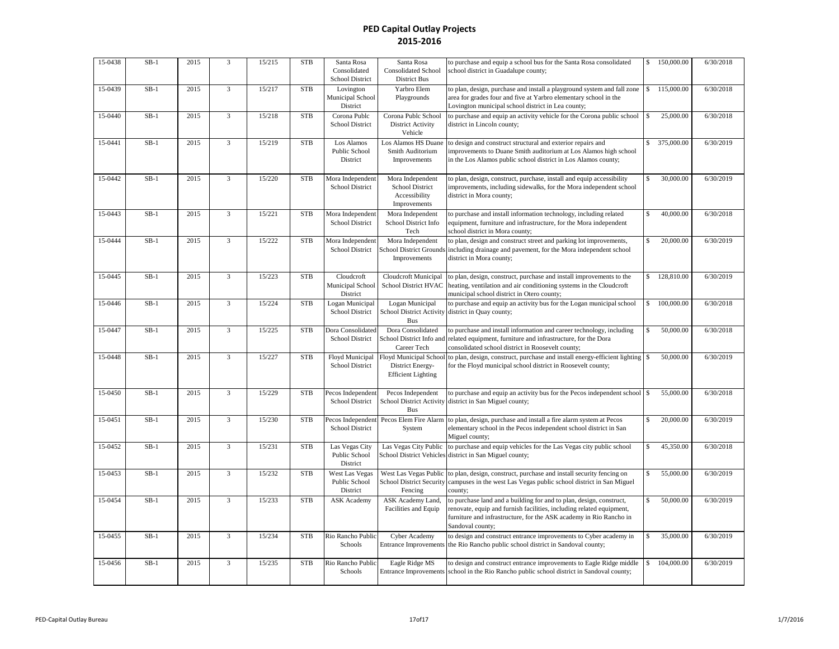| 15-0438 | $SB-1$ | 2015 | $\overline{3}$ | 15/215 | <b>STB</b> | Santa Rosa<br>Consolidated<br>School District      | Santa Rosa<br><b>Consolidated School</b><br><b>District Bus</b>         | to purchase and equip a school bus for the Santa Rosa consolidated<br>school district in Guadalupe county;                                                                                                                            | \$                 | 150,000.00 | 6/30/2018 |
|---------|--------|------|----------------|--------|------------|----------------------------------------------------|-------------------------------------------------------------------------|---------------------------------------------------------------------------------------------------------------------------------------------------------------------------------------------------------------------------------------|--------------------|------------|-----------|
| 15-0439 | $SB-1$ | 2015 | 3              | 15/217 | <b>STB</b> | Lovington<br>Municipal School<br>District          | Yarbro Elem<br>Playgrounds                                              | to plan, design, purchase and install a playground system and fall zone<br>area for grades four and five at Yarbro elementary school in the<br>Lovington municipal school district in Lea county;                                     |                    | 115,000.00 | 6/30/2018 |
| 15-0440 | $SB-1$ | 2015 | 3              | 15/218 | <b>STB</b> | Corona Publc<br><b>School District</b>             | Corona Publc School<br><b>District Activity</b><br>Vehicle              | to purchase and equip an activity vehicle for the Corona public school<br>district in Lincoln county;                                                                                                                                 | \$                 | 25,000.00  | 6/30/2018 |
| 15-0441 | $SB-1$ | 2015 | 3              | 15/219 | <b>STB</b> | Los Alamos<br>Public School<br>District            | Los Alamos HS Duane<br>Smith Auditorium<br>Improvements                 | to design and construct structural and exterior repairs and<br>improvements to Duane Smith auditorium at Los Alamos high school<br>in the Los Alamos public school district in Los Alamos county;                                     | \$                 | 375,000.00 | 6/30/2019 |
| 15-0442 | $SB-1$ | 2015 | 3              | 15/220 | <b>STB</b> | Mora Independent<br>School District                | Mora Independent<br>School District<br>Accessibility<br>Improvements    | to plan, design, construct, purchase, install and equip accessibility<br>improvements, including sidewalks, for the Mora independent school<br>district in Mora county;                                                               |                    | 30,000.00  | 6/30/2019 |
| 15-0443 | $SB-1$ | 2015 | $\overline{3}$ | 15/221 | <b>STB</b> | Mora Independent<br>School District                | Mora Independent<br>School District Info<br>Tech                        | to purchase and install information technology, including related<br>equipment, furniture and infrastructure, for the Mora independent<br>school district in Mora county;                                                             |                    | 40,000.00  | 6/30/2018 |
| 15-0444 | $SB-1$ | 2015 | 3              | 15/222 | <b>STB</b> | Mora Independent<br>School District                | Mora Independent<br><b>School District Grounds</b><br>Improvements      | to plan, design and construct street and parking lot improvements,<br>including drainage and pavement, for the Mora independent school<br>district in Mora county;                                                                    |                    | 20,000.00  | 6/30/2019 |
| 15-0445 | $SB-1$ | 2015 | $\overline{3}$ | 15/223 | <b>STB</b> | Cloudcroft<br>Municipal School<br>District         | Cloudcroft Municipal<br>School District HVAC                            | to plan, design, construct, purchase and install improvements to the<br>heating, ventilation and air conditioning systems in the Cloudcroft<br>municipal school district in Otero county;                                             |                    | 128,810.00 | 6/30/2019 |
| 15-0446 | $SB-1$ | 2015 | $\overline{3}$ | 15/224 | <b>STB</b> | Logan Municipal<br>School District                 | Logan Municipal<br><b>School District Activity</b><br><b>Bus</b>        | to purchase and equip an activity bus for the Logan municipal school<br>district in Quay county;                                                                                                                                      | \$                 | 100,000.00 | 6/30/2018 |
| 15-0447 | $SB-1$ | 2015 | $\overline{3}$ | 15/225 | <b>STB</b> | Dora Consolidated<br>School District               | Dora Consolidated<br>School District Info and<br>Career Tech            | to purchase and install information and career technology, including<br>related equipment, furniture and infrastructure, for the Dora<br>consolidated school district in Roosevelt county;                                            | $\mathbf{\hat{S}}$ | 50,000.00  | 6/30/2018 |
| 15-0448 | $SB-1$ | 2015 | 3              | 15/227 | <b>STB</b> | Floyd Municipal<br>School District                 | Floyd Municipal School<br>District Energy-<br><b>Efficient Lighting</b> | to plan, design, construct, purchase and install energy-efficient lighting<br>for the Floyd municipal school district in Roosevelt county;                                                                                            | \$                 | 50,000.00  | 6/30/2019 |
| 15-0450 | $SB-1$ | 2015 | $\overline{3}$ | 15/229 | <b>STB</b> | Pecos Independent<br>School District               | Pecos Independent<br><b>School District Activity</b><br><b>Bus</b>      | to purchase and equip an activity bus for the Pecos independent school<br>district in San Miguel county;                                                                                                                              | $\mathbb{S}$       | 55,000.00  | 6/30/2018 |
| 15-0451 | $SB-1$ | 2015 | $\overline{3}$ | 15/230 | <b>STB</b> | Pecos Independen<br>School District                | Pecos Elem Fire Alarm<br>System                                         | to plan, design, purchase and install a fire alarm system at Pecos<br>elementary school in the Pecos independent school district in San<br>Miguel county;                                                                             | \$.                | 20,000.00  | 6/30/2019 |
| 15-0452 | $SB-1$ | 2015 | 3              | 15/231 | <b>STB</b> | Las Vegas City<br>Public School<br>District        | Las Vegas City Public<br><b>School District Vehicles</b>                | to purchase and equip vehicles for the Las Vegas city public school<br>district in San Miguel county;                                                                                                                                 | \$                 | 45,350.00  | 6/30/2018 |
| 15-0453 | $SB-1$ | 2015 | 3              | 15/232 | <b>STB</b> | <b>West Las Vegas</b><br>Public School<br>District | West Las Vegas Public<br><b>School District Security</b><br>Fencing     | to plan, design, construct, purchase and install security fencing on<br>campuses in the west Las Vegas public school district in San Miguel<br>county;                                                                                |                    | 55,000.00  | 6/30/2019 |
| 15-0454 | $SB-1$ | 2015 | 3              | 15/233 | <b>STB</b> | <b>ASK</b> Academy                                 | ASK Academy Land,<br>Facilities and Equip                               | to purchase land and a building for and to plan, design, construct,<br>renovate, equip and furnish facilities, including related equipment,<br>furniture and infrastructure, for the ASK academy in Rio Rancho in<br>Sandoval county; | $\mathbf{\hat{S}}$ | 50,000.00  | 6/30/2019 |
| 15-0455 | $SB-1$ | 2015 | $\overline{3}$ | 15/234 | <b>STB</b> | Rio Rancho Public<br>Schools                       | Cyber Academy<br><b>Entrance Improvements</b>                           | to design and construct entrance improvements to Cyber academy in<br>the Rio Rancho public school district in Sandoval county;                                                                                                        | \$                 | 35,000.00  | 6/30/2019 |
| 15-0456 | $SB-1$ | 2015 | 3              | 15/235 | <b>STB</b> | Rio Rancho Public<br>Schools                       | Eagle Ridge MS<br><b>Entrance Improvements</b>                          | to design and construct entrance improvements to Eagle Ridge middle<br>school in the Rio Rancho public school district in Sandoval county;                                                                                            | \$                 | 104,000.00 | 6/30/2019 |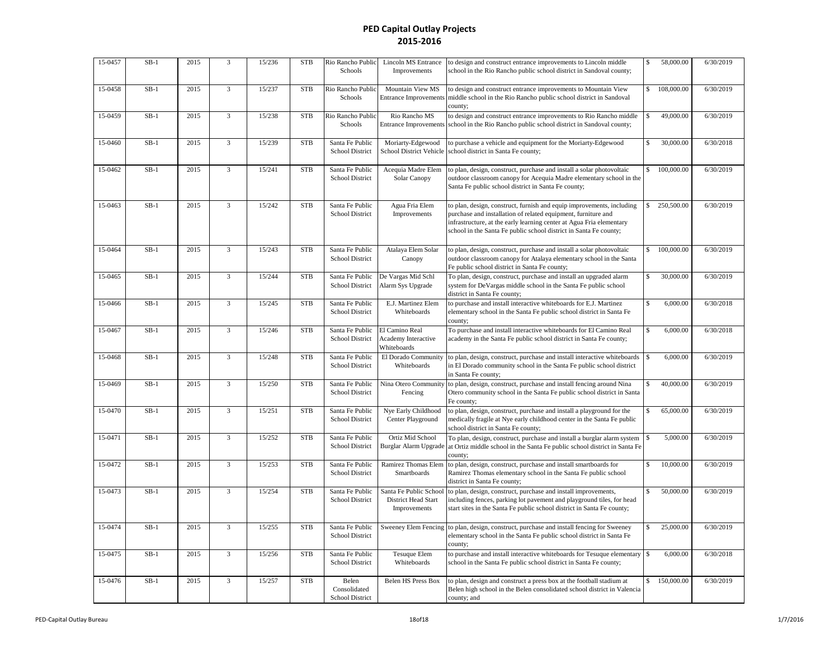| 15-0457 | $SB-1$ | 2015 | 3              | 15/236 | <b>STB</b> | Rio Rancho Public<br>Schools              | Lincoln MS Entrance<br>Improvements                           | to design and construct entrance improvements to Lincoln middle<br>school in the Rio Rancho public school district in Sandoval county;                                                                                                                                              | \$                 | 58,000.00  | 6/30/2019 |
|---------|--------|------|----------------|--------|------------|-------------------------------------------|---------------------------------------------------------------|-------------------------------------------------------------------------------------------------------------------------------------------------------------------------------------------------------------------------------------------------------------------------------------|--------------------|------------|-----------|
| 15-0458 | $SB-1$ | 2015 | $\overline{3}$ | 15/237 | <b>STB</b> | Rio Rancho Public<br>Schools              | Mountain View MS<br><b>Entrance Improvements</b>              | to design and construct entrance improvements to Mountain View<br>middle school in the Rio Rancho public school district in Sandoval<br>county;                                                                                                                                     | \$                 | 108,000.00 | 6/30/2019 |
| 15-0459 | $SB-1$ | 2015 | 3              | 15/238 | <b>STB</b> | Rio Rancho Public<br>Schools              | Rio Rancho MS<br><b>Entrance Improvements</b>                 | to design and construct entrance improvements to Rio Rancho middle<br>school in the Rio Rancho public school district in Sandoval county;                                                                                                                                           | \$                 | 49,000.00  | 6/30/2019 |
| 15-0460 | $SB-1$ | 2015 | 3              | 15/239 | <b>STB</b> | Santa Fe Public<br>School District        | Moriarty-Edgewood<br>School District Vehicle                  | to purchase a vehicle and equipment for the Moriarty-Edgewood<br>school district in Santa Fe county;                                                                                                                                                                                | \$                 | 30,000.00  | 6/30/2018 |
| 15-0462 | $SB-1$ | 2015 | 3              | 15/241 | <b>STB</b> | Santa Fe Public<br><b>School District</b> | Acequia Madre Elem<br>Solar Canopy                            | to plan, design, construct, purchase and install a solar photovoltaic<br>outdoor classroom canopy for Acequia Madre elementary school in the<br>Santa Fe public school district in Santa Fe county;                                                                                 | \$                 | 100,000.00 | 6/30/2019 |
| 15-0463 | $SB-1$ | 2015 | $\overline{3}$ | 15/242 | <b>STB</b> | Santa Fe Public<br><b>School District</b> | Agua Fria Elem<br>Improvements                                | to plan, design, construct, furnish and equip improvements, including<br>purchase and installation of related equipment, furniture and<br>infrastructure, at the early learning center at Agua Fria elementary<br>school in the Santa Fe public school district in Santa Fe county; | \$                 | 250,500.00 | 6/30/2019 |
| 15-0464 | $SB-1$ | 2015 | $\overline{3}$ | 15/243 | <b>STB</b> | Santa Fe Public<br>School District        | Atalaya Elem Solar<br>Canopy                                  | to plan, design, construct, purchase and install a solar photovoltaic<br>outdoor classroom canopy for Atalaya elementary school in the Santa<br>Fe public school district in Santa Fe county;                                                                                       | \$                 | 100,000.00 | 6/30/2019 |
| 15-0465 | $SB-1$ | 2015 | 3              | 15/244 | <b>STB</b> | Santa Fe Public<br>School District        | De Vargas Mid Schl<br>Alarm Sys Upgrade                       | To plan, design, construct, purchase and install an upgraded alarm<br>system for DeVargas middle school in the Santa Fe public school<br>district in Santa Fe county;                                                                                                               | \$                 | 30,000.00  | 6/30/2019 |
| 15-0466 | $SB-1$ | 2015 | 3              | 15/245 | <b>STB</b> | Santa Fe Public<br><b>School District</b> | E.J. Martinez Elem<br>Whiteboards                             | to purchase and install interactive whiteboards for E.J. Martinez<br>elementary school in the Santa Fe public school district in Santa Fe<br>county;                                                                                                                                | \$                 | 6,000.00   | 6/30/2018 |
| 15-0467 | $SB-1$ | 2015 | 3              | 15/246 | <b>STB</b> | Santa Fe Public<br>School District        | El Camino Real<br>Academy Interactive<br>Whiteboards          | To purchase and install interactive whiteboards for El Camino Real<br>academy in the Santa Fe public school district in Santa Fe county;                                                                                                                                            | $\mathbb S$        | 6,000.00   | 6/30/2018 |
| 15-0468 | $SB-1$ | 2015 | 3              | 15/248 | <b>STB</b> | Santa Fe Public<br>School District        | El Dorado Community<br>Whiteboards                            | to plan, design, construct, purchase and install interactive whiteboards<br>in El Dorado community school in the Santa Fe public school district<br>in Santa Fe county;                                                                                                             | \$                 | 6,000.00   | 6/30/2019 |
| 15-0469 | $SB-1$ | 2015 | $\overline{3}$ | 15/250 | <b>STB</b> | Santa Fe Public<br><b>School District</b> | Nina Otero Community<br>Fencing                               | to plan, design, construct, purchase and install fencing around Nina<br>Otero community school in the Santa Fe public school district in Santa<br>Fe county;                                                                                                                        | \$                 | 40,000.00  | 6/30/2019 |
| 15-0470 | $SB-1$ | 2015 | 3              | 15/251 | <b>STB</b> | Santa Fe Public<br>School District        | Nye Early Childhood<br>Center Playground                      | to plan, design, construct, purchase and install a playground for the<br>medically fragile at Nye early childhood center in the Santa Fe public<br>school district in Santa Fe county;                                                                                              | \$                 | 65,000.00  | 6/30/2019 |
| 15-0471 | $SB-1$ | 2015 | 3              | 15/252 | <b>STB</b> | Santa Fe Public<br><b>School District</b> | Ortiz Mid School<br>Burglar Alarm Upgrade                     | To plan, design, construct, purchase and install a burglar alarm system<br>at Ortiz middle school in the Santa Fe public school district in Santa Fe<br>county;                                                                                                                     | $\mathbf{\hat{S}}$ | 5,000.00   | 6/30/2019 |
| 15-0472 | $SB-1$ | 2015 | 3              | 15/253 | <b>STB</b> | Santa Fe Public<br>School District        | Ramirez Thomas Elem<br>Smartboards                            | to plan, design, construct, purchase and install smartboards for<br>Ramirez Thomas elementary school in the Santa Fe public school<br>district in Santa Fe county;                                                                                                                  | \$                 | 10,000.00  | 6/30/2019 |
| 15-0473 | $SB-1$ | 2015 | $\overline{3}$ | 15/254 | <b>STB</b> | Santa Fe Public<br>School District        | Santa Fe Public School<br>District Head Start<br>Improvements | to plan, design, construct, purchase and install improvements,<br>including fences, parking lot pavement and playground tiles, for head<br>start sites in the Santa Fe public school district in Santa Fe county;                                                                   | \$                 | 50,000.00  | 6/30/2019 |
| 15-0474 | $SB-1$ | 2015 | 3              | 15/255 | <b>STB</b> | Santa Fe Public<br>School District        | <b>Sweeney Elem Fencing</b>                                   | to plan, design, construct, purchase and install fencing for Sweeney<br>elementary school in the Santa Fe public school district in Santa Fe<br>county;                                                                                                                             | \$                 | 25,000.00  | 6/30/2019 |
| 15-0475 | $SB-1$ | 2015 | 3              | 15/256 | <b>STB</b> | Santa Fe Public<br>School District        | <b>Tesuque Elem</b><br>Whiteboards                            | to purchase and install interactive whiteboards for Tesuque elementary<br>school in the Santa Fe public school district in Santa Fe county;                                                                                                                                         | $\mathbf{\hat{S}}$ | 6,000.00   | 6/30/2018 |
| 15-0476 | $SB-1$ | 2015 | 3              | 15/257 | <b>STB</b> | Belen<br>Consolidated<br>School District  | Belen HS Press Box                                            | to plan, design and construct a press box at the football stadium at<br>Belen high school in the Belen consolidated school district in Valencia<br>county; and                                                                                                                      | \$                 | 150,000.00 | 6/30/2019 |